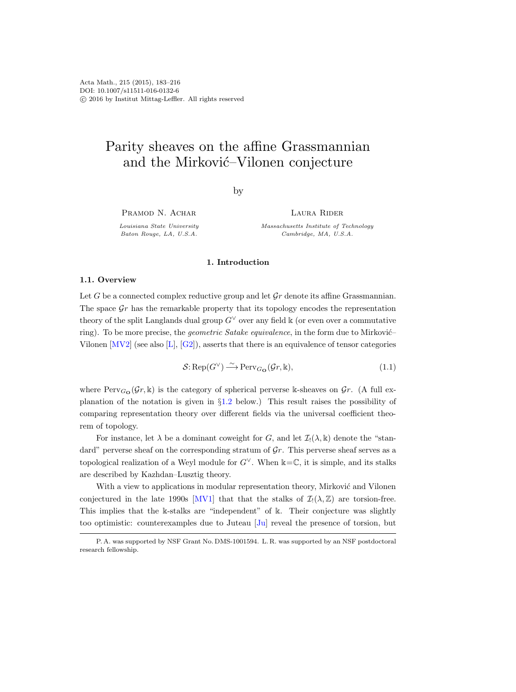# Parity sheaves on the affine Grassmannian and the Mirković–Vilonen conjecture

by

PRAMOD N. ACHAR

Louisiana State University Baton Rouge, LA, U.S.A.

Laura Rider

Massachusetts Institute of Technology Cambridge, MA, U.S.A.

## 1. Introduction

#### 1.1. Overview

Let G be a connected complex reductive group and let  $\mathcal{G}r$  denote its affine Grassmannian. The space  $\mathcal{G}_r$  has the remarkable property that its topology encodes the representation theory of the split Langlands dual group  $G<sup>∨</sup>$  over any field k (or even over a commutative ring). To be more precise, the *geometric Satake equivalence*, in the form due to Mirković– Vilonen  $\text{[MV2]}$  (see also  $\text{[L]}, \text{[G2]}$ ), asserts that there is an equivalence of tensor categories

$$
\mathcal{S}: \operatorname{Rep}(G^{\vee}) \xrightarrow{\sim} \operatorname{Perv}_{G_{\mathbf{O}}}(\mathcal{G}r, \mathbb{k}),\tag{1.1}
$$

where  $Perv_{G}\left(\mathcal{G}r,\mathbb{k}\right)$  is the category of spherical perverse k-sheaves on  $\mathcal{G}r$ . (A full explanation of the notation is given in §[1.2](#page-1-0) below.) This result raises the possibility of comparing representation theory over different fields via the universal coefficient theorem of topology.

For instance, let  $\lambda$  be a dominant coweight for G, and let  $\mathcal{I}(\lambda, k)$  denote the "standard" perverse sheaf on the corresponding stratum of  $\mathcal{G}_r$ . This perverse sheaf serves as a topological realization of a Weyl module for  $G^{\vee}$ . When  $\Bbbk = \mathbb{C}$ , it is simple, and its stalks are described by Kazhdan–Lusztig theory.

With a view to applications in modular representation theory, Mirković and Vilonen conjectured in the late 1990s [\[MV1\]](#page-33-2) that that the stalks of  $\mathcal{I}_!(\lambda,\mathbb{Z})$  are torsion-free. This implies that the k-stalks are "independent" of k. Their conjecture was slightly too optimistic: counterexamples due to Juteau [\[Ju\]](#page-33-3) reveal the presence of torsion, but

P. A. was supported by NSF Grant No. DMS-1001594. L. R. was supported by an NSF postdoctoral research fellowship.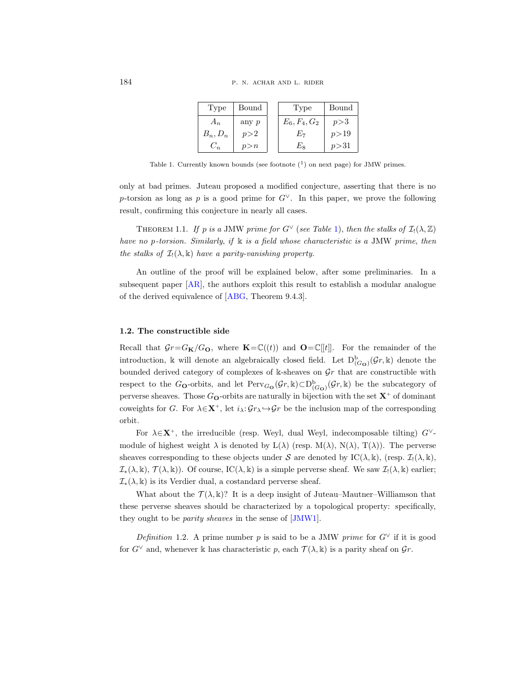| Type       | Bound   | Type            | Bound  |
|------------|---------|-----------------|--------|
| $A_n$      | any $p$ | $E_6, F_4, G_2$ | p > 3  |
| $B_n, D_n$ | p > 2   | Ŀ7              | p > 19 |
| $C_n$      | p > n   | Еs              | p > 31 |

<span id="page-1-1"></span>Table 1. Currently known bounds (see footnote  $(1)$  on next page) for JMW primes.

only at bad primes. Juteau proposed a modified conjecture, asserting that there is no p-torsion as long as p is a good prime for  $G^{\vee}$ . In this paper, we prove the following result, confirming this conjecture in nearly all cases.

<span id="page-1-2"></span>THEOREM 1.1. If p is a JMW prime for  $G^{\vee}$  (see Table [1\)](#page-1-1), then the stalks of  $\mathcal{I}_1(\lambda,\mathbb{Z})$ have no p-torsion. Similarly, if  $\Bbbk$  is a field whose characteristic is a JMW prime, then the stalks of  $\mathcal{I}_!(\lambda,\mathbb{k})$  have a parity-vanishing property.

An outline of the proof will be explained below, after some preliminaries. In a subsequent paper [\[AR\]](#page-32-1), the authors exploit this result to establish a modular analogue of the derived equivalence of [\[ABG,](#page-32-2) Theorem 9.4.3].

# <span id="page-1-0"></span>1.2. The constructible side

Recall that  $\mathcal{G}r = G_{\mathbf{K}}/G_{\mathbf{O}}$ , where  $\mathbf{K} = \mathbb{C}((t))$  and  $\mathbf{O} = \mathbb{C}[[t]]$ . For the remainder of the introduction, k will denote an algebraically closed field. Let  $D^b_{(G_O)}(\mathcal{G}r, k)$  denote the bounded derived category of complexes of  $\Bbbk$ -sheaves on  $\mathcal{G}r$  that are constructible with respect to the G<sub>O</sub>-orbits, and let  $Perv_{G\bullet}(\mathcal{G}r,\mathbb{k})\subset D^b_{(G\bullet)}(\mathcal{G}r,\mathbb{k})$  be the subcategory of perverse sheaves. Those  $G_{\mathbf{O}}$ -orbits are naturally in bijection with the set  $\mathbf{X}^+$  of dominant coweights for G. For  $\lambda \in \mathbf{X}^+$ , let  $i_\lambda: \mathcal{G}r_\lambda \hookrightarrow \mathcal{G}r$  be the inclusion map of the corresponding orbit.

For  $\lambda \in \mathbf{X}^+$ , the irreducible (resp. Weyl, dual Weyl, indecomposable tilting)  $G^{\vee}$ module of highest weight  $\lambda$  is denoted by  $L(\lambda)$  (resp.  $M(\lambda)$ ,  $N(\lambda)$ ,  $T(\lambda)$ ). The perverse sheaves corresponding to these objects under S are denoted by  $\text{IC}(\lambda, \mathbb{k})$ , (resp.  $\mathcal{I}_1(\lambda, \mathbb{k})$ ,  $\mathcal{I}_*(\lambda, \mathbb{k}), \mathcal{T}(\lambda, \mathbb{k})$ . Of course, IC( $\lambda, \mathbb{k}$ ) is a simple perverse sheaf. We saw  $\mathcal{I}_!(\lambda, \mathbb{k})$  earlier;  $\mathcal{I}_*(\lambda, \mathbb{k})$  is its Verdier dual, a costandard perverse sheaf.

What about the  $\mathcal{T}(\lambda, \mathbb{k})$ ? It is a deep insight of Juteau–Mautner–Williamson that these perverse sheaves should be characterized by a topological property: specifically, they ought to be parity sheaves in the sense of [\[JMW1\]](#page-33-4).

<span id="page-1-3"></span>Definition 1.2. A prime number p is said to be a JMW prime for  $G^{\vee}$  if it is good for  $G^{\vee}$  and, whenever k has characteristic p, each  $\mathcal{T}(\lambda, \mathbb{k})$  is a parity sheaf on  $\mathcal{G}_r$ .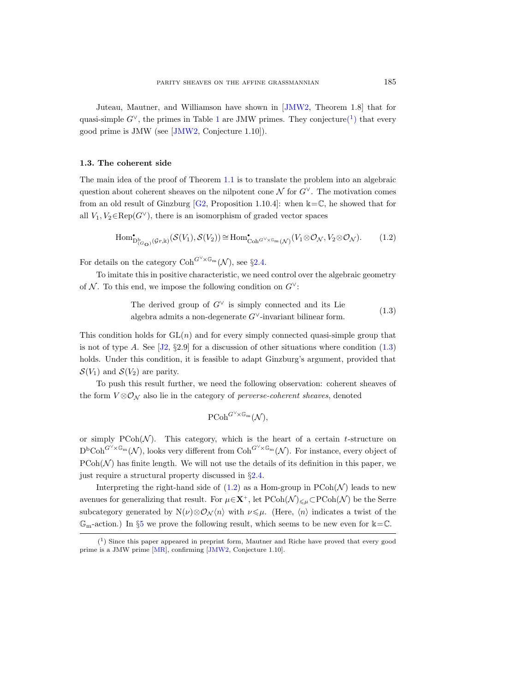Juteau, Mautner, and Williamson have shown in [\[JMW2,](#page-33-5) Theorem 1.8] that for quasi-simple  $G^{\vee}$ , the primes in Table [1](#page-1-1) are JMW primes. They conjectur[e\(](#page-2-0)<sup>1</sup>) that every good prime is JMW (see [\[JMW2,](#page-33-5) Conjecture 1.10]).

## <span id="page-2-3"></span>1.3. The coherent side

The main idea of the proof of Theorem [1.1](#page-1-2) is to translate the problem into an algebraic question about coherent sheaves on the nilpotent cone  $\mathcal N$  for  $G^{\vee}$ . The motivation comes from an old result of Ginzburg [\[G2,](#page-32-0) Proposition 1.10.4]: when  $\Bbbk = \mathbb{C}$ , he showed that for all  $V_1, V_2 \in \text{Rep}(G^{\vee})$ , there is an isomorphism of graded vector spaces

<span id="page-2-2"></span>
$$
\text{Hom}^{\bullet}_{\mathcal{D}^{\mathbf{b}}_{(G_{\mathbf{O}})}(\mathcal{G}_{r},k)}(\mathcal{S}(V_1),\mathcal{S}(V_2)) \cong \text{Hom}^{\bullet}_{\text{Coh}^{G^{\vee}\times\mathbb{G}_{m}}(\mathcal{N})}(V_1 \otimes \mathcal{O}_{\mathcal{N}}, V_2 \otimes \mathcal{O}_{\mathcal{N}}). \tag{1.2}
$$

For details on the category  $\mathrm{Coh}^{G\vee\ltimes\mathbb{G}_{\mathrm{m}}}(\mathcal{N})$ , see §[2.4.](#page-10-0)

To imitate this in positive characteristic, we need control over the algebraic geometry of N. To this end, we impose the following condition on  $G^{\vee}$ :

> <span id="page-2-1"></span>The derived group of  $G^{\vee}$  is simply connected and its Lie algebra admits a non-degenerate  $G^{\vee}$ -invariant bilinear form. (1.3)

This condition holds for  $GL(n)$  and for every simply connected quasi-simple group that is not of type A. See  $[32, §2.9]$  for a discussion of other situations where condition  $(1.3)$ holds. Under this condition, it is feasible to adapt Ginzburg's argument, provided that  $\mathcal{S}(V_1)$  and  $\mathcal{S}(V_2)$  are parity.

To push this result further, we need the following observation: coherent sheaves of the form  $V \otimes \mathcal{O}_N$  also lie in the category of *perverse-coherent sheaves*, denoted

$$
\operatorname{PCoh}^{G^{\vee}\!\times\mathbb{G}_{\mathrm{m}}}(\mathcal{N}),
$$

or simply  $P\text{Coh}(\mathcal{N})$ . This category, which is the heart of a certain t-structure on  $D^{\text{b}}\text{Coh}^{G^{\vee}\times\mathbb{G}_{\text{m}}}(\mathcal{N})$ , looks very different from  $\text{Coh}^{G^{\vee}\times\mathbb{G}_{\text{m}}}(\mathcal{N})$ . For instance, every object of  $P\text{Coh}(\mathcal{N})$  has finite length. We will not use the details of its definition in this paper, we just require a structural property discussed in §[2.4.](#page-10-0)

Interpreting the right-hand side of  $(1.2)$  as a Hom-group in  $P\text{Coh}(\mathcal{N})$  leads to new avenues for generalizing that result. For  $\mu \in \mathbf{X}^+$ , let  $\text{PCoh}(\mathcal{N})_{\leq \mu} \subset \text{PCoh}(\mathcal{N})$  be the Serre subcategory generated by  $N(\nu)\otimes\mathcal{O}_N\langle n\rangle$  with  $\nu\leqslant\mu$ . (Here,  $\langle n\rangle$  indicates a twist of the  $\mathbb{G}_{m}$ -action.) In §[5](#page-21-0) we prove the following result, which seems to be new even for  $k=\mathbb{C}$ .

<span id="page-2-0"></span> $(1)$  Since this paper appeared in preprint form, Mautner and Riche have proved that every good prime is a JMW prime [\[MR\]](#page-33-7), confirming [\[JMW2,](#page-33-5) Conjecture 1.10].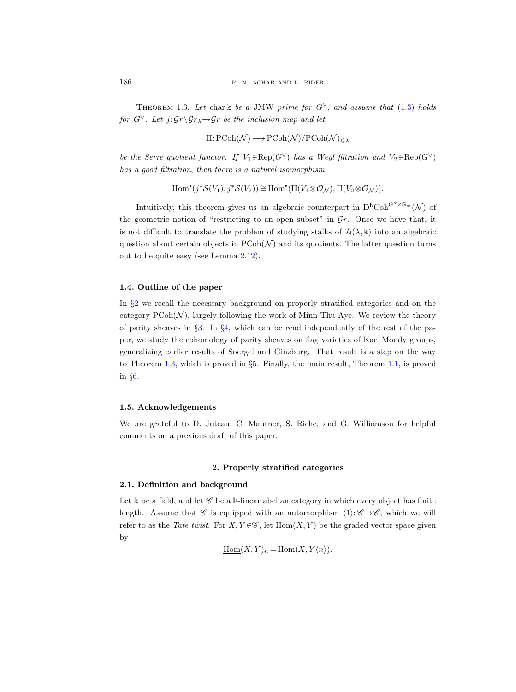<span id="page-3-1"></span>THEOREM 1.3. Let char k be a JMW prime for  $G^{\vee}$ , and assume that [\(1.3\)](#page-2-1) holds for  $G^{\vee}$ . Let  $j: \mathcal{G}_r \backslash \overline{\mathcal{G}_r}_\lambda \rightarrow \mathcal{G}_r$  be the inclusion map and let

$$
\Pi\colon\mathrm{PCoh}(\mathcal{N})\longrightarrow\mathrm{PCoh}(\mathcal{N})/\mathrm{PCoh}(\mathcal{N})_{\leqslant\lambda}
$$

be the Serre quotient functor. If  $V_1 \in \text{Rep}(G^{\vee})$  has a Weyl filtration and  $V_2 \in \text{Rep}(G^{\vee})$ has a good filtration, then there is a natural isomorphism

$$
\operatorname{Hom}^{\bullet}(j^*{\mathcal S}(V_1), j^*{\mathcal S}(V_2)) \cong \operatorname{Hom}^{\bullet}(\Pi(V_1 \otimes {\mathcal O}_{\mathcal N}), \Pi(V_2 \otimes {\mathcal O}_{\mathcal N})).
$$

Intuitively, this theorem gives us an algebraic counterpart in  $D<sup>b</sup>Coh<sup>G<sup>V</sup>×G<sub>m</sub></sup>(N)$  of the geometric notion of "restricting to an open subset" in  $\mathcal{G}_r$ . Once we have that, it is not difficult to translate the problem of studying stalks of  $\mathcal{I}_1(\lambda, k)$  into an algebraic question about certain objects in  $P\text{Coh}(\mathcal{N})$  and its quotients. The latter question turns out to be quite easy (see Lemma [2.12\)](#page-8-0).

# 1.4. Outline of the paper

In §[2](#page-3-0) we recall the necessary background on properly stratified categories and on the category  $P\text{Coh}(\mathcal{N})$ , largely following the work of Minn-Thu-Aye. We review the theory of parity sheaves in  $\S 3$ . In  $\S 4$ , which can be read independently of the rest of the paper, we study the cohomology of parity sheaves on flag varieties of Kac–Moody groups, generalizing earlier results of Soergel and Ginzburg. That result is a step on the way to Theorem [1.3,](#page-3-1) which is proved in  $\S5$ . Finally, the main result, Theorem [1.1,](#page-1-2) is proved in §[6.](#page-27-0)

#### 1.5. Acknowledgements

We are grateful to D. Juteau, C. Mautner, S. Riche, and G. Williamson for helpful comments on a previous draft of this paper.

# 2. Properly stratified categories

# <span id="page-3-0"></span>2.1. Definition and background

Let k be a field, and let  $\mathscr C$  be a k-linear abelian category in which every object has finite length. Assume that  $\mathscr C$  is equipped with an automorphism  $\langle 1 \rangle : \mathscr C \to \mathscr C$ , which we will refer to as the Tate twist. For  $X, Y \in \mathscr{C}$ , let  $\text{Hom}(X, Y)$  be the graded vector space given by

$$
\underline{\mathrm{Hom}}(X, Y)_n = \mathrm{Hom}(X, Y\langle n \rangle).
$$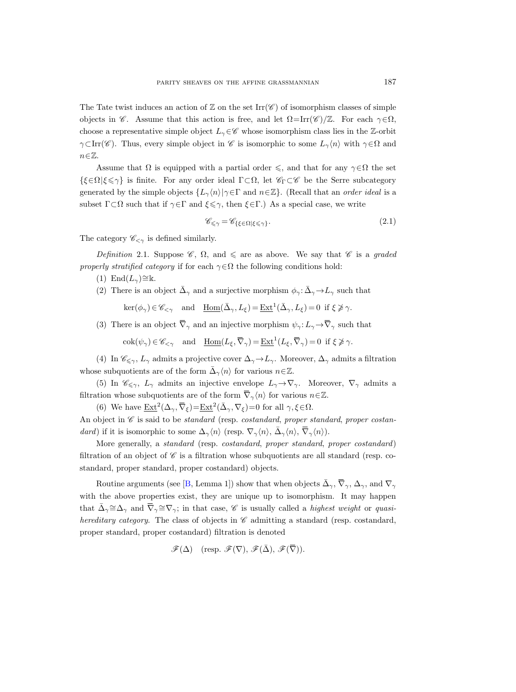The Tate twist induces an action of  $\mathbb Z$  on the set Irr( $\mathscr C$ ) of isomorphism classes of simple objects in C. Assume that this action is free, and let  $\Omega = \text{Irr}(\mathscr{C})/\mathbb{Z}$ . For each  $\gamma \in \Omega$ , choose a representative simple object  $L_{\gamma} \in \mathscr{C}$  whose isomorphism class lies in the Z-orbit  $\gamma \subset \text{Irr}(\mathscr{C})$ . Thus, every simple object in  $\mathscr{C}$  is isomorphic to some  $L_{\gamma}\langle n \rangle$  with  $\gamma \in \Omega$  and  $n \in \mathbb{Z}$ .

Assume that  $\Omega$  is equipped with a partial order  $\leq$ , and that for any  $\gamma \in \Omega$  the set  $\{\xi \in \Omega | \xi \leq \gamma\}$  is finite. For any order ideal  $\Gamma \subset \Omega$ , let  $\mathscr{C}_\Gamma \subset \mathscr{C}$  be the Serre subcategory generated by the simple objects  $\{L_{\gamma}(n)|\gamma \in \Gamma \text{ and } n \in \mathbb{Z}\}\$ . (Recall that an *order ideal* is a subset  $\Gamma \subset \Omega$  such that if  $\gamma \in \Gamma$  and  $\xi \leq \gamma$ , then  $\xi \in \Gamma$ .) As a special case, we write

<span id="page-4-0"></span>
$$
\mathscr{C}_{\leq \gamma} = \mathscr{C}_{\{\xi \in \Omega | \xi \leq \gamma\}}.\tag{2.1}
$$

The category  $\mathscr{C}_{\leq \gamma}$  is defined similarly.

<span id="page-4-1"></span>Definition 2.1. Suppose  $\mathscr{C}, \Omega$ , and  $\leq$  are as above. We say that  $\mathscr{C}$  is a graded properly stratified category if for each  $\gamma \in \Omega$  the following conditions hold:

- (1) End $(L_{\gamma}) \cong \mathbb{k}$ .
- (2) There is an object  $\bar{\Delta}_{\gamma}$  and a surjective morphism  $\phi_{\gamma} : \bar{\Delta}_{\gamma} \to L_{\gamma}$  such that
	- $\ker(\phi_\gamma) \in \mathscr{C}_{\leq \gamma}$  and  $\underline{\text{Hom}}(\bar{\Delta}_\gamma, L_\xi) = \underline{\text{Ext}}^1(\bar{\Delta}_\gamma, L_\xi) = 0$  if  $\xi \not\geq \gamma$ .
- (3) There is an object  $\overline{\nabla}_{\gamma}$  and an injective morphism  $\psi_{\gamma}: L_{\gamma} \to \overline{\nabla}_{\gamma}$  such that

 $\operatorname{cok}(\psi_\gamma) \in \mathscr{C}_{\leq \gamma}$  and  $\underline{\operatorname{Hom}}(L_{\xi}, \overline{\nabla}_{\gamma}) = \underline{\operatorname{Ext}}^1(L_{\xi}, \overline{\nabla}_{\gamma}) = 0$  if  $\xi \ngeq \gamma$ .

(4) In  $\mathscr{C}_{\leq \gamma}$ ,  $L_{\gamma}$  admits a projective cover  $\Delta_{\gamma} \to L_{\gamma}$ . Moreover,  $\Delta_{\gamma}$  admits a filtration whose subquotients are of the form  $\bar{\Delta}_{\gamma} \langle n \rangle$  for various  $n \in \mathbb{Z}$ .

(5) In  $\mathscr{C}_{\leq \gamma}$ ,  $L_{\gamma}$  admits an injective envelope  $L_{\gamma} \to \nabla_{\gamma}$ . Moreover,  $\nabla_{\gamma}$  admits a filtration whose subquotients are of the form  $\overline{\nabla}_{\gamma}(n)$  for various  $n \in \mathbb{Z}$ .

(6) We have  $\underline{\text{Ext}}^2(\Delta_\gamma, \overline{\nabla}_\xi) = \underline{\text{Ext}}^2(\overline{\Delta}_\gamma, \nabla_\xi) = 0$  for all  $\gamma, \xi \in \Omega$ .

An object in  $\mathscr C$  is said to be standard (resp. costandard, proper standard, proper costandard) if it is isomorphic to some  $\Delta_{\gamma}\langle n \rangle$  (resp.  $\nabla_{\gamma}\langle n \rangle$ ,  $\overline{\Delta}_{\gamma}\langle n \rangle$ ,  $\overline{\nabla}_{\gamma}\langle n \rangle$ ).

More generally, a standard (resp. costandard, proper standard, proper costandard) filtration of an object of  $\mathscr C$  is a filtration whose subquotients are all standard (resp. costandard, proper standard, proper costandard) objects.

Routine arguments (see [\[B,](#page-32-3) Lemma 1]) show that when objects  $\bar{\Delta}_{\gamma}$ ,  $\bar{\nabla}_{\gamma}$ ,  $\Delta_{\gamma}$ , and  $\nabla_{\gamma}$ with the above properties exist, they are unique up to isomorphism. It may happen that  $\bar{\Delta}_{\gamma} \cong \Delta_{\gamma}$  and  $\bar{\nabla}_{\gamma} \cong \nabla_{\gamma}$ ; in that case, C is usually called a *highest weight* or *quasi*hereditary category. The class of objects in  $\mathscr C$  admitting a standard (resp. costandard, proper standard, proper costandard) filtration is denoted

$$
\mathscr{F}(\Delta) \quad (\text{resp. } \mathscr{F}(\nabla), \, \mathscr{F}(\bar{\Delta}), \, \mathscr{F}(\bar{\nabla})).
$$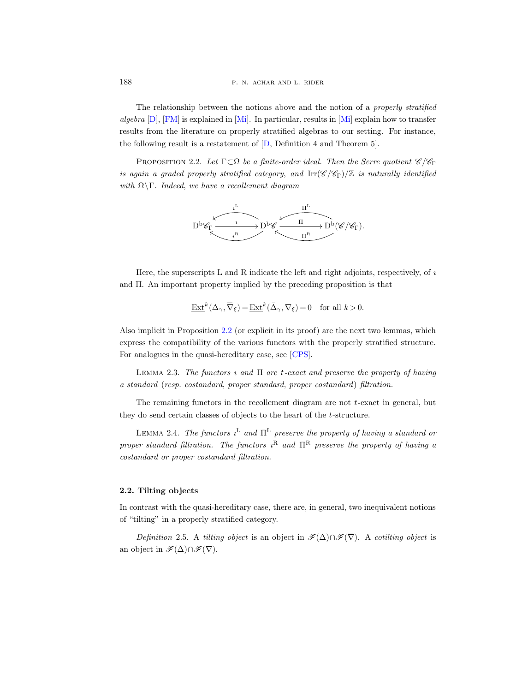188 **p. n. achar and l. rider** 

The relationship between the notions above and the notion of a properly stratified algebra  $[D]$ ,  $[FM]$  is explained in  $[Mi]$ . In particular, results in  $[Mi]$  explain how to transfer results from the literature on properly stratified algebras to our setting. For instance, the following result is a restatement of [\[D,](#page-32-4) Definition 4 and Theorem 5].

<span id="page-5-0"></span>PROPOSITION 2.2. Let  $\Gamma \subset \Omega$  be a finite-order ideal. Then the Serre quotient  $\mathscr{C}/\mathscr{C}_{\Gamma}$ is again a graded properly stratified category, and  $\text{Irr}(\mathscr{C}/\mathscr{C}_{\Gamma})/\mathbb{Z}$  is naturally identified with  $\Omega \backslash \Gamma$ . Indeed, we have a recollement diagram



Here, the superscripts  $L$  and  $R$  indicate the left and right adjoints, respectively, of  $\imath$ and Π. An important property implied by the preceding proposition is that

$$
\underline{\operatorname{Ext}}^k(\Delta_\gamma, \overline{\nabla}_\xi) = \underline{\operatorname{Ext}}^k(\bar{\Delta}_\gamma, \nabla_\xi) = 0 \quad \text{for all } k > 0.
$$

Also implicit in Proposition [2.2](#page-5-0) (or explicit in its proof) are the next two lemmas, which express the compatibility of the various functors with the properly stratified structure. For analogues in the quasi-hereditary case, see [\[CPS\]](#page-32-6).

<span id="page-5-2"></span>LEMMA 2.3. The functors  $\iota$  and  $\Pi$  are t-exact and preserve the property of having a standard (resp. costandard, proper standard, proper costandard) filtration.

The remaining functors in the recollement diagram are not  $t$ -exact in general, but they do send certain classes of objects to the heart of the t-structure.

<span id="page-5-1"></span>LEMMA 2.4. The functors  $i^L$  and  $\Pi^L$  preserve the property of having a standard or proper standard filtration. The functors  $i^R$  and  $\Pi^R$  preserve the property of having a costandard or proper costandard filtration.

# 2.2. Tilting objects

In contrast with the quasi-hereditary case, there are, in general, two inequivalent notions of "tilting" in a properly stratified category.

Definition 2.5. A tilting object is an object in  $\mathscr{F}(\Delta) \cap \mathscr{F}(\overline{\nabla})$ . A cotilting object is an object in  $\mathscr{F}(\bar{\Delta}) \cap \mathscr{F}(\nabla)$ .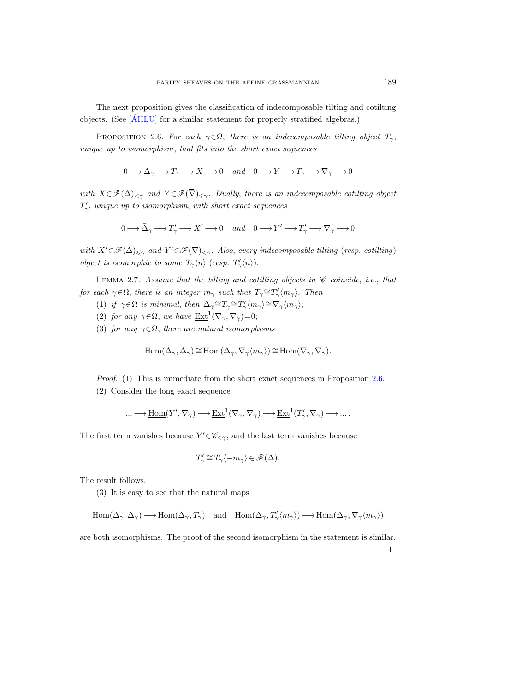The next proposition gives the classification of indecomposable tilting and cotilting objects. (See  $\left[\text{ÁHLU}\right]$  for a similar statement for properly stratified algebras.)

<span id="page-6-0"></span>PROPOSITION 2.6. For each  $\gamma \in \Omega$ , there is an indecomposable tilting object  $T_{\gamma}$ , unique up to isomorphism, that fits into the short exact sequences

 $0 \longrightarrow \Delta_{\gamma} \longrightarrow T_{\gamma} \longrightarrow X \longrightarrow 0$  and  $0 \longrightarrow Y \longrightarrow T_{\gamma} \longrightarrow \overline{\nabla}_{\gamma} \longrightarrow 0$ 

with  $X \in \mathscr{F}(\Delta)_{\leq \gamma}$  and  $Y \in \mathscr{F}(\overline{\nabla})_{\leq \gamma}$ . Dually, there is an indecomposable cotiling object  $T'_{\gamma}$ , unique up to isomorphism, with short exact sequences

$$
0 \longrightarrow \bar{\Delta}_{\gamma} \longrightarrow T'_{\gamma} \longrightarrow X' \longrightarrow 0 \quad and \quad 0 \longrightarrow Y' \longrightarrow T'_{\gamma} \longrightarrow \nabla_{\gamma} \longrightarrow 0
$$

with  $X' \in \mathscr{F}(\bar{\Delta})_{\leq \gamma}$  and  $Y' \in \mathscr{F}(\nabla)_{\leq \gamma}$ . Also, every indecomposable tilting (resp. cotilting) object is isomorphic to some  $T_{\gamma}\langle n\rangle$  (resp.  $T'_{\gamma}\langle n\rangle$ ).

<span id="page-6-1"></span>LEMMA 2.7. Assume that the tilting and cotilting objects in  $\mathscr C$  coincide, i.e., that for each  $\gamma \in \Omega$ , there is an integer  $m_{\gamma}$  such that  $T_{\gamma} \cong T'_{\gamma} \langle m_{\gamma} \rangle$ . Then

- (1) if  $\gamma \in \Omega$  is minimal, then  $\Delta_{\gamma} {\cong} T_{\gamma} {\cong} T'_{\gamma} \langle m_{\gamma} \rangle {\cong} \nabla_{\gamma} \langle m_{\gamma} \rangle;$
- (2) for any  $\gamma \in \Omega$ , we have  $\underline{\operatorname{Ext}}^1(\nabla_\gamma, \overline{\nabla}_\gamma) = 0$ ;
- (3) for any  $\gamma \in \Omega$ , there are natural isomorphisms

$$
\underline{\mathrm{Hom}}(\Delta_{\gamma}, \Delta_{\gamma}) \cong \underline{\mathrm{Hom}}(\Delta_{\gamma}, \nabla_{\gamma} \langle m_{\gamma} \rangle) \cong \underline{\mathrm{Hom}}(\nabla_{\gamma}, \nabla_{\gamma}).
$$

Proof. (1) This is immediate from the short exact sequences in Proposition [2.6.](#page-6-0) (2) Consider the long exact sequence

$$
\dots \longrightarrow \underline{\mathrm{Hom}}(Y', \overline{\nabla}_{\gamma}) \longrightarrow \underline{\mathrm{Ext}}^1(\nabla_{\gamma}, \overline{\nabla}_{\gamma}) \longrightarrow \underline{\mathrm{Ext}}^1(T'_{\gamma}, \overline{\nabla}_{\gamma}) \longrightarrow \dots.
$$

The first term vanishes because  $Y' \in \mathscr{C}_{\leq \gamma}$ , and the last term vanishes because

$$
T'_{\gamma} \cong T_{\gamma} \langle -m_{\gamma} \rangle \in \mathscr{F}(\Delta).
$$

The result follows.

(3) It is easy to see that the natural maps

 $\underline{\mathrm{Hom}}(\Delta_{\gamma}, \Delta_{\gamma}) \longrightarrow \underline{\mathrm{Hom}}(\Delta_{\gamma}, T_{\gamma})$  and  $\underline{\mathrm{Hom}}(\Delta_{\gamma}, T_{\gamma}'\langle m_{\gamma}\rangle) \longrightarrow \underline{\mathrm{Hom}}(\Delta_{\gamma}, \nabla_{\gamma}\langle m_{\gamma}\rangle)$ 

are both isomorphisms. The proof of the second isomorphism in the statement is similar.

 $\Box$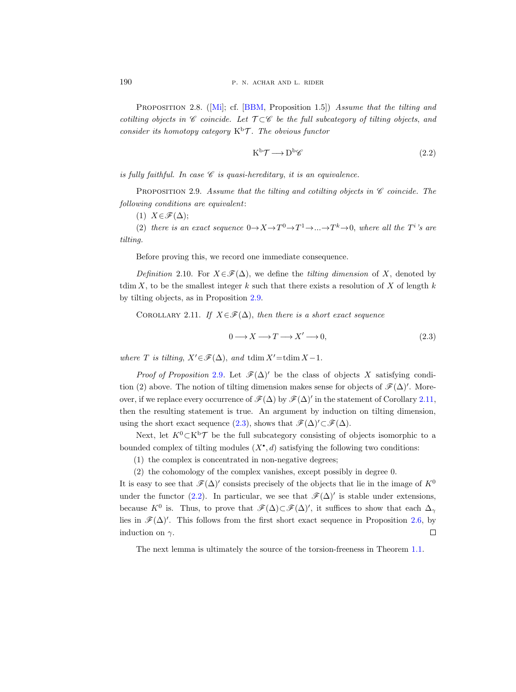PROPOSITION2.8. ([\[Mi\]](#page-33-8); cf. [\[BBM,](#page-32-8) Proposition 1.5]) Assume that the tilting and cotilting objects in  $\mathscr C$  coincide. Let  $\mathcal T \subset \mathscr C$  be the full subcategory of tilting objects, and consider its homotopy category  $K^b\mathcal{T}$ . The obvious functor

<span id="page-7-3"></span>
$$
K^{\mathrm{b}}\mathcal{T}\longrightarrow D^{\mathrm{b}}\mathscr{C}\tag{2.2}
$$

is fully faithful. In case  $\mathscr C$  is quasi-hereditary, it is an equivalence.

<span id="page-7-0"></span>PROPOSITION 2.9. Assume that the tilting and cotiling objects in  $\mathscr C$  coincide. The following conditions are equivalent:

(1)  $X \in \mathscr{F}(\Delta);$ 

(2) there is an exact sequence  $0 \to X \to T^0 \to T^1 \to \dots \to T^k \to 0$ , where all the  $T^i$ 's are tilting.

Before proving this, we record one immediate consequence.

Definition 2.10. For  $X \in \mathscr{F}(\Delta)$ , we define the tilting dimension of X, denoted by tdim X, to be the smallest integer k such that there exists a resolution of X of length  $k$ by tilting objects, as in Proposition [2.9.](#page-7-0)

<span id="page-7-1"></span>COROLLARY 2.11. If  $X \in \mathscr{F}(\Delta)$ , then there is a short exact sequence

<span id="page-7-2"></span>
$$
0 \longrightarrow X \longrightarrow T \longrightarrow X' \longrightarrow 0,
$$
\n
$$
(2.3)
$$

where T is tilting,  $X' \in \mathscr{F}(\Delta)$ , and tdim  $X' = \text{tdim } X - 1$ .

*Proof of Proposition* [2.9](#page-7-0). Let  $\mathcal{F}(\Delta)$  be the class of objects X satisfying condition (2) above. The notion of tilting dimension makes sense for objects of  $\mathcal{F}(\Delta)$ '. Moreover, if we replace every occurrence of  $\mathscr{F}(\Delta)$  by  $\mathscr{F}(\Delta)'$  in the statement of Corollary [2.11,](#page-7-1) then the resulting statement is true. An argument by induction on tilting dimension, using the short exact sequence [\(2.3\)](#page-7-2), shows that  $\mathscr{F}(\Delta)'\subset\mathscr{F}(\Delta)$ .

Next, let  $K^0\subset K^b\mathcal{T}$  be the full subcategory consisting of objects isomorphic to a bounded complex of tilting modules  $(X^{\bullet}, d)$  satisfying the following two conditions:

(1) the complex is concentrated in non-negative degrees;

(2) the cohomology of the complex vanishes, except possibly in degree 0.

It is easy to see that  $\mathscr{F}(\Delta)$ ' consists precisely of the objects that lie in the image of  $K^0$ under the functor [\(2.2\)](#page-7-3). In particular, we see that  $\mathscr{F}(\Delta)'$  is stable under extensions, because  $K^0$  is. Thus, to prove that  $\mathscr{F}(\Delta) \subset \mathscr{F}(\Delta)'$ , it suffices to show that each  $\Delta_{\gamma}$ lies in  $\mathscr{F}(\Delta)$ '. This follows from the first short exact sequence in Proposition [2.6,](#page-6-0) by induction on  $\gamma$ .  $\Box$ 

The next lemma is ultimately the source of the torsion-freeness in Theorem [1.1.](#page-1-2)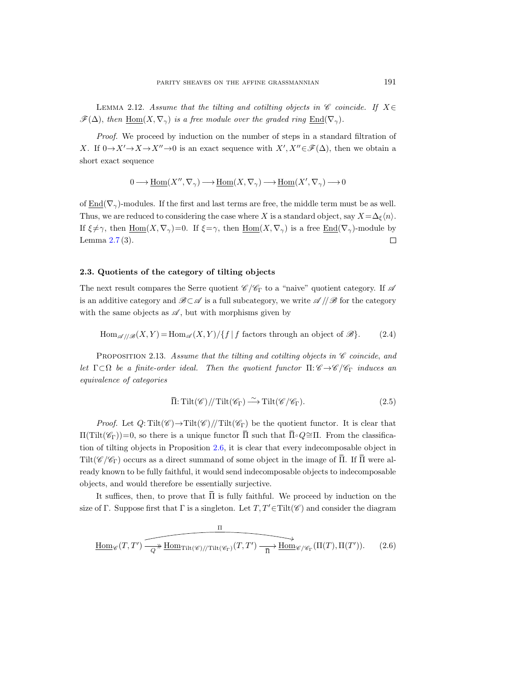<span id="page-8-0"></span>LEMMA 2.12. Assume that the tilting and cotilting objects in  $\mathscr C$  coincide. If  $X \in$  $\mathscr{F}(\Delta)$ , then  $\underline{Hom}(X,\nabla_{\gamma})$  is a free module over the graded ring  $\underline{End}(\nabla_{\gamma})$ .

Proof. We proceed by induction on the number of steps in a standard filtration of X. If  $0 \to X' \to X \to X'' \to 0$  is an exact sequence with  $X', X'' \in \mathcal{F}(\Delta)$ , then we obtain a short exact sequence

$$
0 \longrightarrow \underline{\mathrm{Hom}}(X'', \nabla_{\gamma}) \longrightarrow \underline{\mathrm{Hom}}(X, \nabla_{\gamma}) \longrightarrow \underline{\mathrm{Hom}}(X', \nabla_{\gamma}) \longrightarrow 0
$$

of  $\text{End}(\nabla_{\gamma})$ -modules. If the first and last terms are free, the middle term must be as well. Thus, we are reduced to considering the case where X is a standard object, say  $X = \Delta_{\xi} \langle n \rangle$ . If  $\xi \neq \gamma$ , then  $\underline{\text{Hom}}(X, \nabla_{\gamma})=0$ . If  $\xi = \gamma$ , then  $\underline{\text{Hom}}(X, \nabla_{\gamma})$  is a free  $\underline{\text{End}}(\nabla_{\gamma})$ -module by Lemma [2.7](#page-6-1) (3).  $\Box$ 

# 2.3. Quotients of the category of tilting objects

The next result compares the Serre quotient  $\mathscr{C}/\mathscr{C}_{\Gamma}$  to a "naive" quotient category. If  $\mathscr{A}$ is an additive category and  $\mathscr{B}\subset\mathscr{A}$  is a full subcategory, we write  $\mathscr{A}/\mathscr{B}$  for the category with the same objects as  $\mathscr A$ , but with morphisms given by

<span id="page-8-4"></span> $\text{Hom}_{\mathscr{A}/\mathscr{B}}(X, Y) = \text{Hom}_{\mathscr{A}}(X, Y)/\{f \mid f \text{ factors through an object of } \mathscr{B}\}.$  (2.4)

<span id="page-8-3"></span>PROPOSITION 2.13. Assume that the tilting and cotilting objects in  $\mathscr C$  coincide, and let  $\Gamma \subset \Omega$  be a finite-order ideal. Then the quotient functor  $\Pi: \mathscr{C} \to \mathscr{C}/\mathscr{C}_{\Gamma}$  induces an equivalence of categories

<span id="page-8-2"></span>
$$
\overline{\Pi} : \text{Tilt}(\mathscr{C}) / \text{Tilt}(\mathscr{C}_{\Gamma}) \xrightarrow{\sim} \text{Tilt}(\mathscr{C}/\mathscr{C}_{\Gamma}). \tag{2.5}
$$

*Proof.* Let  $Q: \text{Tilt}(\mathscr{C}) \rightarrow \text{Tilt}(\mathscr{C}) / / \text{Tilt}(\mathscr{C}_{\Gamma})$  be the quotient functor. It is clear that  $\Pi(Tilt(\mathscr{C}_{\Gamma}))=0$ , so there is a unique functor  $\overline{\Pi}$  such that  $\overline{\Pi}$ ∘ $Q$ ≃Π. From the classification of tilting objects in Proposition [2.6,](#page-6-0) it is clear that every indecomposable object in Tilt( $\mathscr{C}/\mathscr{C}_{\Gamma}$ ) occurs as a direct summand of some object in the image of  $\overline{\Pi}$ . If  $\overline{\Pi}$  were already known to be fully faithful, it would send indecomposable objects to indecomposable objects, and would therefore be essentially surjective.

It suffices, then, to prove that  $\overline{\Pi}$  is fully faithful. We proceed by induction on the size of Γ. Suppose first that Γ is a singleton. Let  $T, T' \in Tilt(\mathscr{C})$  and consider the diagram

<span id="page-8-1"></span>
$$
\underline{\text{Hom}}_{\mathscr{C}}(T,T') \xrightarrow{\text{Hom}_{\text{Tilt}(\mathscr{C})//\text{Tilt}(\mathscr{C}_{\Gamma})}(T,T') \xrightarrow{\text{Hom}_{\mathscr{C}/\mathscr{C}_{\Gamma}}(\Pi(T),\Pi(T'))} (2.6)
$$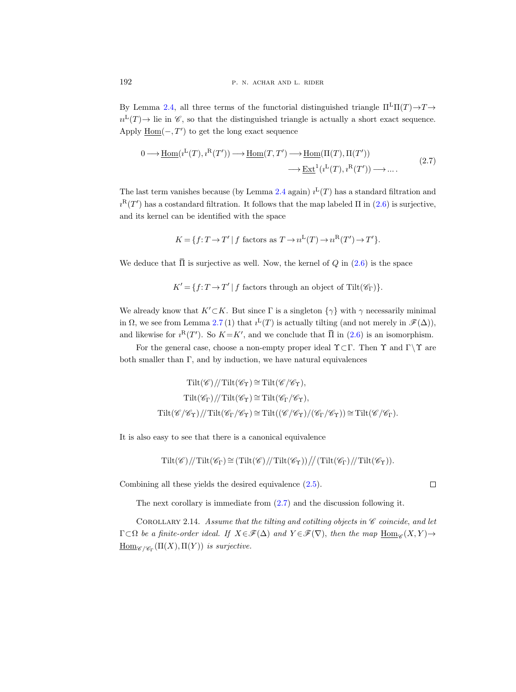By Lemma [2.4,](#page-5-1) all three terms of the functorial distinguished triangle  $\Pi^L\Pi(T) \to T \to$  $u^L(T) \to \text{lie in } \mathscr{C}$ , so that the distinguished triangle is actually a short exact sequence. Apply  $\underline{\text{Hom}}(-,T')$  to get the long exact sequence

<span id="page-9-0"></span>
$$
0 \longrightarrow \underline{\text{Hom}}(i^{L}(T), i^{R}(T')) \longrightarrow \underline{\text{Hom}}(T, T') \longrightarrow \underline{\text{Hom}}(\Pi(T), \Pi(T'))
$$
  

$$
\longrightarrow \underline{\text{Ext}}^{1}(i^{L}(T), i^{R}(T')) \longrightarrow \dots.
$$
 (2.7)

The last term vanishes because (by Lemma [2.4](#page-5-1) again)  $i^L(T)$  has a standard filtration and  $i^R(T')$  has a costandard filtration. It follows that the map labeled  $\Pi$  in  $(2.6)$  is surjective, and its kernel can be identified with the space

$$
K = \{ f: T \to T' \mid f \text{ factors as } T \to u^L(T) \to u^R(T') \to T' \}.
$$

We deduce that  $\overline{\Pi}$  is surjective as well. Now, the kernel of Q in [\(2.6\)](#page-8-1) is the space

 $K' = \{f: T \to T' | f \text{ factors through an object of } Tilt(\mathscr{C}_{\Gamma})\}.$ 

We already know that  $K'\subset K$ . But since  $\Gamma$  is a singleton  $\{\gamma\}$  with  $\gamma$  necessarily minimal in  $\Omega$ , we see from Lemma [2.7](#page-6-1)(1) that  $i^{\text{L}}(T)$  is actually tilting (and not merely in  $\mathscr{F}(\Delta)$ ), and likewise for  $i^R(T')$ . So  $K = K'$ , and we conclude that  $\overline{\Pi}$  in ([2.6\)](#page-8-1) is an isomorphism.

For the general case, choose a non-empty proper ideal  $\Upsilon \subset \Gamma$ . Then  $\Upsilon$  and  $\Gamma \setminus \Upsilon$  are both smaller than  $\Gamma$ , and by induction, we have natural equivalences

$$
\operatorname{Tilt}(\mathscr{C})/\!/ \operatorname{Tilt}(\mathscr{C}_{\Upsilon}) \cong \operatorname{Tilt}(\mathscr{C}/\mathscr{C}_{\Upsilon}),
$$
  
\n
$$
\operatorname{Tilt}(\mathscr{C}_{\Gamma})/\!/ \operatorname{Tilt}(\mathscr{C}_{\Gamma}) \cong \operatorname{Tilt}(\mathscr{C}_{\Gamma}/\mathscr{C}_{\Upsilon}),
$$
  
\n
$$
\operatorname{Tilt}(\mathscr{C}/\mathscr{C}_{\Upsilon})/\!/ \operatorname{Tilt}(\mathscr{C}_{\Gamma}/\mathscr{C}_{\Upsilon}) \cong \operatorname{Tilt}(\mathscr{C}/\mathscr{C}_{\Upsilon})/\!/ \mathscr{C}_{\Gamma}/\mathscr{C}_{\Upsilon}) \cong \operatorname{Tilt}(\mathscr{C}/\mathscr{C}_{\Gamma}).
$$

It is also easy to see that there is a canonical equivalence

$$
\operatorname{Tilt}(\mathscr{C})/\!/ \operatorname{Tilt}(\mathscr{C}_{\Gamma}) \cong (\operatorname{Tilt}(\mathscr{C})/\!/ \operatorname{Tilt}(\mathscr{C}_{\Gamma}))/\!/ (\operatorname{Tilt}(\mathscr{C}_{\Gamma})/\!/ \operatorname{Tilt}(\mathscr{C}_{\Gamma})).
$$

Combining all these yields the desired equivalence [\(2.5\)](#page-8-2).

The next corollary is immediate from [\(2.7\)](#page-9-0) and the discussion following it.

<span id="page-9-1"></span>COROLLARY 2.14. Assume that the tilting and cotilting objects in  $\mathscr C$  coincide, and let  $\Gamma \subset \Omega$  be a finite-order ideal. If  $X \in \mathscr{F}(\Delta)$  and  $Y \in \mathscr{F}(\nabla)$ , then the map  $\underline{\text{Hom}}_{\mathscr{C}}(X, Y) \rightarrow$  $\underline{\mathrm{Hom}}_{\mathscr{C}/\mathscr{C}_{\Gamma}}(\Pi(X), \Pi(Y))$  is surjective.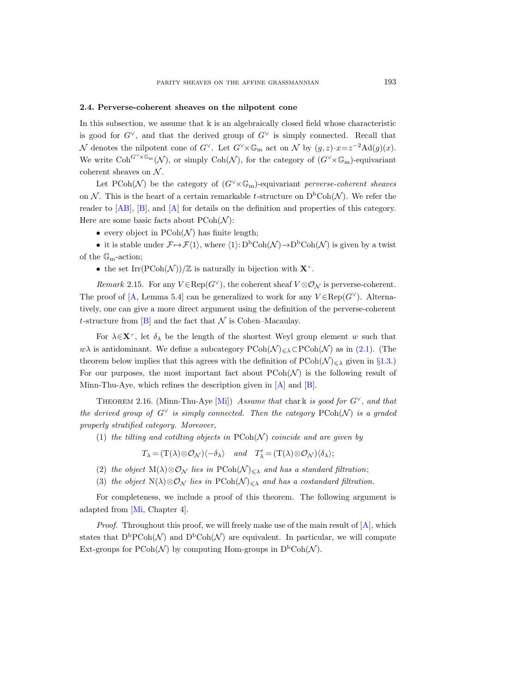## <span id="page-10-0"></span>2.4. Perverse-coherent sheaves on the nilpotent cone

In this subsection, we assume that  $\Bbbk$  is an algebraically closed field whose characteristic is good for  $G^{\vee}$ , and that the derived group of  $G^{\vee}$  is simply connected. Recall that N denotes the nilpotent cone of  $G^{\vee}$ . Let  $G^{\vee}\times\mathbb{G}_{\mathrm{m}}$  act on N by  $(g, z)\cdot x = z^{-2}\mathrm{Ad}(g)(x)$ . We write  $\mathrm{Coh}^{G\vee\!\times\mathbb{G}_{\mathrm{m}}}(\mathcal{N})$ , or simply  $\mathrm{Coh}(\mathcal{N})$ , for the category of  $(G\vee\!\times\mathbb{G}_{\mathrm{m}})$ -equivariant coherent sheaves on  $N$ .

Let PCoh(N) be the category of  $(G^{\vee}\times\mathbb{G}_{m})$ -equivariant perverse-coherent sheaves on N. This is the heart of a certain remarkable t-structure on  $D<sup>b</sup>Coh(\mathcal{N})$ . We refer the reader to [\[AB\]](#page-32-9), [\[B\]](#page-32-3), and [\[A\]](#page-32-10) for details on the definition and properties of this category. Here are some basic facts about  $P\text{Coh}(\mathcal{N})$ :

• every object in  $P\text{Coh}(\mathcal{N})$  has finite length;

• it is stable under  $\mathcal{F} \mapsto \mathcal{F}\langle 1 \rangle$ , where  $\langle 1 \rangle: D^{\mathrm{b}}\mathrm{Coh}(\mathcal{N}) \to D^{\mathrm{b}}\mathrm{Coh}(\mathcal{N})$  is given by a twist of the  $\mathbb{G}_{m}$ -action;

• the set Irr(PCoh( $\mathcal{N}$ ))/ $\mathbb{Z}$  is naturally in bijection with  $\mathbf{X}^+$ .

Remark 2.15. For any  $V \in \text{Rep}(G^{\vee})$ , the coherent sheaf  $V \otimes \mathcal{O}_{\mathcal{N}}$  is perverse-coherent. The proof of [\[A,](#page-32-10) Lemma 5.4] can be generalized to work for any  $V \in \text{Rep}(G^{\vee})$ . Alternatively, one can give a more direct argument using the definition of the perverse-coherent t-structure from  $[B]$  and the fact that  $\mathcal N$  is Cohen–Macaulay.

For  $\lambda \in \mathbf{X}^+$ , let  $\delta_{\lambda}$  be the length of the shortest Weyl group element w such that w $\lambda$  is antidominant. We define a subcategory  $P\text{Coh}(\mathcal{N}) \leq \lambda \text{CPOoh}(\mathcal{N})$  as in [\(2.1\)](#page-4-0). (The theorem below implies that this agrees with the definition of  $P\text{Coh}(\mathcal{N})_{\leq \lambda}$  given in §[1.3.](#page-2-3)) For our purposes, the most important fact about  $P\text{Coh}(\mathcal{N})$  is the following result of Minn-Thu-Aye, which refines the description given in [\[A\]](#page-32-10) and [\[B\]](#page-32-3).

<span id="page-10-1"></span>THEOREM 2.16. (Minn-Thu-Aye [\[Mi\]](#page-33-8)) Assume that chark is good for  $G^{\vee}$ , and that the derived group of  $G^{\vee}$  is simply connected. Then the category  $P\text{Coh}(\mathcal{N})$  is a graded properly stratified category. Moreover,

(1) the tilting and cotilting objects in  $P\text{Coh}(\mathcal{N})$  coincide and are given by

 $T_{\lambda} = (\mathcal{T}(\lambda) \otimes \mathcal{O}_{\mathcal{N}})\langle -\delta_{\lambda} \rangle$  and  $T'_{\lambda} = (\mathcal{T}(\lambda) \otimes \mathcal{O}_{\mathcal{N}})\langle \delta_{\lambda} \rangle;$ 

- (2) the object  $M(\lambda)\otimes\mathcal{O}_N$  lies in  $P\text{Coh}(\mathcal{N})_{\leq \lambda}$  and has a standard filtration;
- (3) the object N( $\lambda$ )⊗O<sub>N</sub> lies in PCoh( $\mathcal{N}$ )  $\leq \lambda$  and has a costandard filtration.

For completeness, we include a proof of this theorem. The following argument is adapted from [\[Mi,](#page-33-8) Chapter 4].

*Proof.* Throughout this proof, we will freely make use of the main result of  $[A]$ , which states that  $D^b P \text{Coh}(\mathcal{N})$  and  $D^b \text{Coh}(\mathcal{N})$  are equivalent. In particular, we will compute Ext-groups for  $\text{PCoh}(\mathcal{N})$  by computing Hom-groups in  $D^{\text{b}}\text{Coh}(\mathcal{N})$ .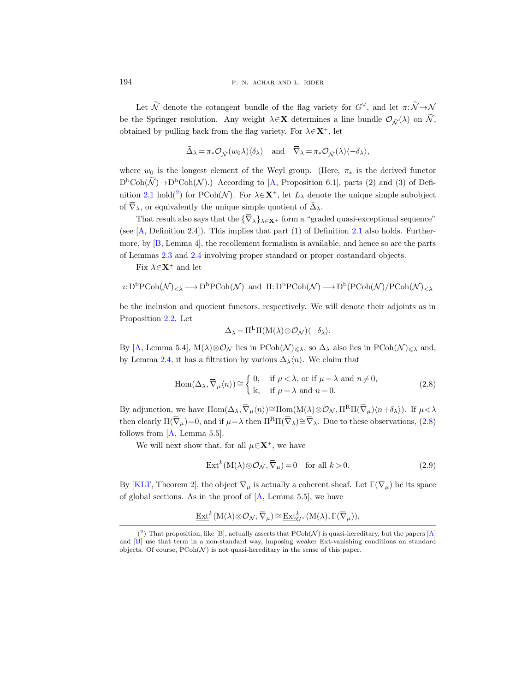Let  $\widetilde{\mathcal{N}}$  denote the cotangent bundle of the flag variety for  $G^{\vee}$ , and let  $\pi: \widetilde{\mathcal{N}} \rightarrow \mathcal{N}$ be the Springer resolution. Any weight  $\lambda \in \mathbf{X}$  determines a line bundle  $\mathcal{O}_{\tilde{\mathcal{N}}}(\lambda)$  on  $\tilde{\mathcal{N}},$ obtained by pulling back from the flag variety. For  $\lambda \in \mathbf{X}^+$ , let

$$
\bar{\Delta}_{\lambda} = \pi_* \mathcal{O}_{\widetilde{\mathcal{N}}} (w_0 \lambda) \langle \delta_{\lambda} \rangle \quad \text{and} \quad \overline{\nabla}_{\lambda} = \pi_* \mathcal{O}_{\widetilde{\mathcal{N}}} (\lambda) \langle -\delta_{\lambda} \rangle,
$$

where  $w_0$  is the longest element of the Weyl group. (Here,  $\pi_*$  is the derived functor  $D<sup>b</sup>Coh(\mathcal{N}) \rightarrow D<sup>b</sup>Coh(\mathcal{N})$ .) According to [\[A,](#page-32-10) Proposition 6.1], parts (2) and (3) of Defi-nition [2.1](#page-4-1) hol[d\(](#page-11-0)<sup>2</sup>) for PCoh( $\mathcal{N}$ ). For  $\lambda \in \mathbf{X}^+$ , let  $L_\lambda$  denote the unique simple subobject of  $\overline{\nabla}_{\lambda}$ , or equivalently the unique simple quotient of  $\overline{\Delta}_{\lambda}$ .

That result also says that the  ${\{\overline{\nabla}_\lambda\}_{\lambda \in \mathbf{X}^+}}$  form a "graded quasi-exceptional sequence" (see [\[A,](#page-32-10) Definition 2.4]). This implies that part (1) of Definition [2.1](#page-4-1) also holds. Furthermore, by [\[B,](#page-32-3) Lemma 4], the recollement formalism is available, and hence so are the parts of Lemmas [2.3](#page-5-2) and [2.4](#page-5-1) involving proper standard or proper costandard objects.

Fix  $\lambda \in \mathbf{X}^+$  and let

$$
\imath\!:\!D^b\mathrm{PCoh}(\mathcal{N})_{<\lambda}\longrightarrow\!D^b\mathrm{PCoh}(\mathcal{N})\;\;\mathrm{and}\;\; \Pi\!:\!D^b\mathrm{PCoh}(\mathcal{N})\longrightarrow\!D^b(\mathrm{PCoh}(\mathcal{N})/\mathrm{PCoh}(\mathcal{N})_{<\lambda}
$$

be the inclusion and quotient functors, respectively. We will denote their adjoints as in Proposition [2.2.](#page-5-0) Let

$$
\Delta_{\lambda} = \Pi^{\mathcal{L}} \Pi(M(\lambda) \otimes \mathcal{O}_{\mathcal{N}}) \langle -\delta_{\lambda} \rangle.
$$

By [\[A,](#page-32-10) Lemma 5.4],  $M(\lambda)\otimes\mathcal{O}_{\mathcal{N}}$  lies in  $P\text{Coh}(\mathcal{N})_{\leq \lambda}$ , so  $\Delta_{\lambda}$  also lies in  $P\text{Coh}(\mathcal{N})_{\leq \lambda}$  and, by Lemma [2.4,](#page-5-1) it has a filtration by various  $\bar{\Delta}_{\lambda}\langle n\rangle$ . We claim that

<span id="page-11-1"></span>
$$
\text{Hom}(\Delta_{\lambda}, \overline{\nabla}_{\mu} \langle n \rangle) \cong \begin{cases} 0, & \text{if } \mu < \lambda \text{, or if } \mu = \lambda \text{ and } n \neq 0, \\ \mathbb{k}, & \text{if } \mu = \lambda \text{ and } n = 0. \end{cases}
$$
 (2.8)

By adjunction, we have  $\text{Hom}(\Delta_\lambda, \overline{\nabla}_\mu \langle n \rangle) \cong \text{Hom}(\text{M}(\lambda) \otimes \mathcal{O}_\mathcal{N}, \Pi^R \Pi(\overline{\nabla}_\mu) \langle n + \delta_\lambda \rangle)$ . If  $\mu < \lambda$ then clearly  $\Pi(\overline{\nabla}_{\mu})=0$ , and if  $\mu=\lambda$  then  $\Pi^{R}\Pi(\overline{\nabla}_{\lambda})\cong \overline{\nabla}_{\lambda}$ . Due to these observations, [\(2.8\)](#page-11-1) follows from  $[A, \text{Lemma } 5.5].$ 

We will next show that, for all  $\mu \in \mathbf{X}^+$ , we have

<span id="page-11-2"></span>
$$
\underline{\operatorname{Ext}}^k(M(\lambda) \otimes \mathcal{O}_{\mathcal{N}}, \overline{\nabla}_{\mu}) = 0 \quad \text{for all } k > 0. \tag{2.9}
$$

By [\[KLT,](#page-33-9) Theorem 2], the object  $\overline{\nabla}_{\mu}$  is actually a coherent sheaf. Let  $\Gamma(\overline{\nabla}_{\mu})$  be its space of global sections. As in the proof of  $[A, \text{Lemma } 5.5]$ , we have

$$
\underline{\operatorname{Ext}}^k(\operatorname{M}(\lambda)\otimes\mathcal{O}_{\mathcal{N}}, \overline{\nabla}_{\mu})\cong \underline{\operatorname{Ext}}^k_{G^{\vee}}(\operatorname{M}(\lambda),\Gamma(\overline{\nabla}_{\mu})),
$$

<span id="page-11-0"></span> $(2)$  That proposition, like [\[B\]](#page-32-3), actually asserts that PCoh(N) is quasi-hereditary, but the papers [\[A\]](#page-32-10) and [\[B\]](#page-32-3) use that term in a non-standard way, imposing weaker Ext-vanishing conditions on standard objects. Of course,  $P\text{Coh}(\mathcal{N})$  is not quasi-hereditary in the sense of this paper.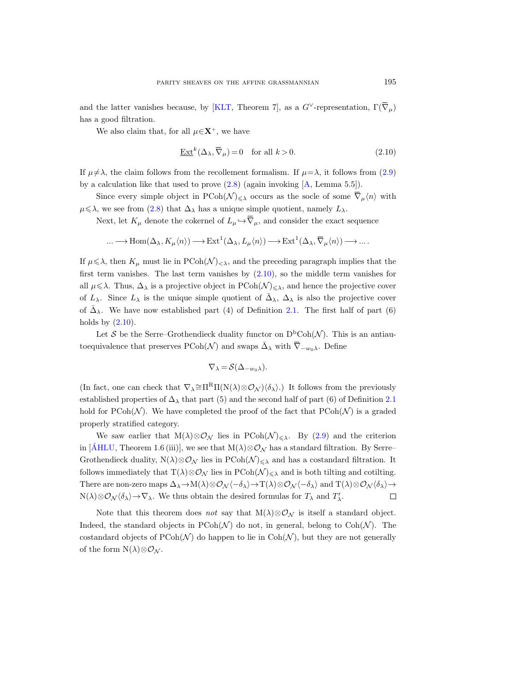and the latter vanishes because, by [\[KLT,](#page-33-9) Theorem 7], as a  $G^{\vee}$ -representation,  $\Gamma(\overline{\nabla}_{\mu})$ has a good filtration.

We also claim that, for all  $\mu \in \mathbf{X}^+$ , we have

<span id="page-12-0"></span>
$$
\underline{\operatorname{Ext}}^k(\Delta_\lambda, \overline{\nabla}_\mu) = 0 \quad \text{for all } k > 0. \tag{2.10}
$$

If  $\mu \neq \lambda$ , the claim follows from the recollement formalism. If  $\mu = \lambda$ , it follows from [\(2.9\)](#page-11-2) by a calculation like that used to prove  $(2.8)$  (again invoking  $[A, \text{Lemma } 5.5]$ ).

Since every simple object in  $\text{PCoh}(\mathcal{N})_{\leq \lambda}$  occurs as the socle of some  $\overline{\nabla}_{\mu}\langle n \rangle$  with  $\mu \leq \lambda$ , we see from [\(2.8\)](#page-11-1) that  $\Delta_{\lambda}$  has a unique simple quotient, namely  $L_{\lambda}$ .

Next, let  $K_{\mu}$  denote the cokernel of  $L_{\mu} \hookrightarrow \overline{\nabla}_{\mu}$ , and consider the exact sequence

$$
\ldots \longrightarrow \operatorname{Hom}(\Delta_\lambda,K_\mu\langle n \rangle) \longrightarrow \operatorname{Ext}^1(\Delta_\lambda,L_\mu\langle n \rangle) \longrightarrow \operatorname{Ext}^1(\Delta_\lambda,\overline{\nabla}_\mu\langle n \rangle) \longrightarrow \ldots.
$$

If  $\mu \leq \lambda$ , then  $K_{\mu}$  must lie in PCoh( $\mathcal{N}\rangle_{\leq \lambda}$ , and the preceding paragraph implies that the first term vanishes. The last term vanishes by  $(2.10)$ , so the middle term vanishes for all  $\mu \leq \lambda$ . Thus,  $\Delta_{\lambda}$  is a projective object in  $P\text{Coh}(\mathcal{N})_{\leq \lambda}$ , and hence the projective cover of  $L_\lambda$ . Since  $L_\lambda$  is the unique simple quotient of  $\bar{\Delta}_{\lambda}$ ,  $\Delta_{\lambda}$  is also the projective cover of  $\bar{\Delta}_{\lambda}$ . We have now established part (4) of Definition [2.1.](#page-4-1) The first half of part (6) holds by  $(2.10)$ .

Let S be the Serre–Grothendieck duality functor on  $D<sup>b</sup>Coh(\mathcal{N})$ . This is an antiautoequivalence that preserves PCoh(N) and swaps  $\bar{\Delta}_{\lambda}$  with  $\bar{\nabla}_{-w_0\lambda}$ . Define

$$
\nabla_\lambda = \mathcal{S}(\Delta_{-w_0\lambda}).
$$

(In fact, one can check that  $\nabla_{\lambda} \cong \Pi^R \Pi(N(\lambda) \otimes \mathcal{O}_{\mathcal{N}}) \langle \delta_{\lambda} \rangle$ .) It follows from the previously established properties of  $\Delta_{\lambda}$  that part (5) and the second half of part (6) of Definition [2.1](#page-4-1) hold for  $P\text{Coh}(\mathcal{N})$ . We have completed the proof of the fact that  $P\text{Coh}(\mathcal{N})$  is a graded properly stratified category.

We saw earlier that  $M(\lambda)\otimes\mathcal{O}_N$  lies in  $P\text{Coh}(\mathcal{N})\leq \lambda$ . By [\(2.9\)](#page-11-2) and the criterion in [\[AHLU](#page-32-7), Theorem 1.6 (iii)], we see that  $M(\lambda) \otimes \mathcal{O}_{\mathcal{N}}$  has a standard filtration. By Serre– Grothendieck duality,  $N(\lambda) \otimes \mathcal{O}_{\mathcal{N}}$  lies in  $PCoh(\mathcal{N})_{\leq \lambda}$  and has a costandard filtration. It follows immediately that  $T(\lambda)\otimes\mathcal{O}_{\mathcal{N}}$  lies in  $P\text{Coh}(\mathcal{N})_{\leq \lambda}$  and is both tilting and cotilting. There are non-zero maps  $\Delta_{\lambda} \to M(\lambda) \otimes \mathcal{O}_{\mathcal{N}} \langle -\delta_{\lambda} \rangle \to T(\lambda) \otimes \mathcal{O}_{\mathcal{N}} \langle -\delta_{\lambda} \rangle$  and  $T(\lambda) \otimes \mathcal{O}_{\mathcal{N}} \langle \delta_{\lambda} \rangle \to$  $N(\lambda) \otimes \mathcal{O}_{\mathcal{N}}\langle \delta_{\lambda} \rangle \rightarrow \nabla_{\lambda}$ . We thus obtain the desired formulas for  $T_{\lambda}$  and  $T'_{\lambda}$ .  $\Box$ 

Note that this theorem does not say that  $M(\lambda)\otimes\mathcal{O}_{\mathcal{N}}$  is itself a standard object. Indeed, the standard objects in  $P\text{Coh}(\mathcal{N})$  do not, in general, belong to  $\text{Coh}(\mathcal{N})$ . The costandard objects of  $P\text{Coh}(\mathcal{N})$  do happen to lie in  $\text{Coh}(\mathcal{N})$ , but they are not generally of the form  $N(\lambda) \otimes \mathcal{O}_{\mathcal{N}}$ .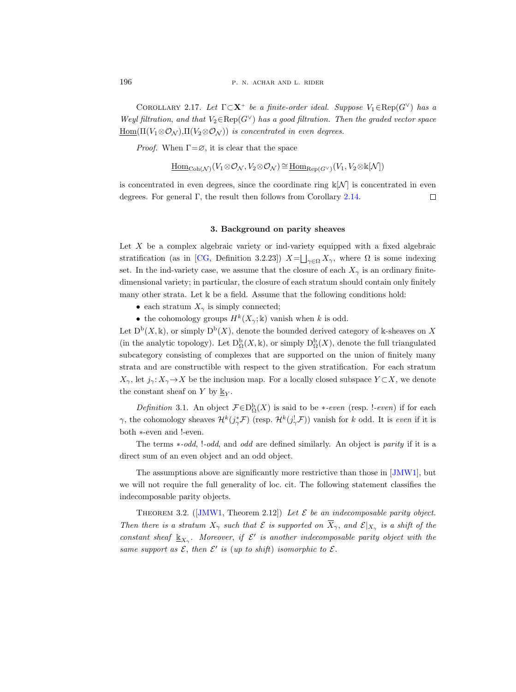<span id="page-13-1"></span>COROLLARY 2.17. Let  $\Gamma \subset \mathbf{X}^+$  be a finite-order ideal. Suppose  $V_1 \in \text{Rep}(G^{\vee})$  has a Weyl filtration, and that  $V_2 \in \text{Rep}(G^{\vee})$  has a good filtration. Then the graded vector space  $\underline{\mathrm{Hom}}(\Pi(V_1\otimes \mathcal{O}_{\mathcal{N}}),\Pi(V_2\otimes \mathcal{O}_{\mathcal{N}}))$  is concentrated in even degrees.

*Proof.* When  $\Gamma = \emptyset$ , it is clear that the space

$$
\underline{\mathrm{Hom}}_{\mathrm{Coh}(\mathcal{N})}(V_1 \otimes \mathcal{O}_{\mathcal{N}}, V_2 \otimes \mathcal{O}_{\mathcal{N}}) \cong \underline{\mathrm{Hom}}_{\mathrm{Rep}(G^\vee)}(V_1, V_2 \otimes \Bbbk[\mathcal{N}])
$$

is concentrated in even degrees, since the coordinate ring  $\mathbb{k}[N]$  is concentrated in even degrees. For general  $\Gamma$ , the result then follows from Corollary [2.14.](#page-9-1)  $\Box$ 

#### 3. Background on parity sheaves

<span id="page-13-0"></span>Let X be a complex algebraic variety or ind-variety equipped with a fixed algebraic stratification (as in [\[CG,](#page-32-11) Definition 3.2.23])  $X = \bigsqcup_{\gamma \in \Omega} X_{\gamma}$ , where  $\Omega$  is some indexing set. In the ind-variety case, we assume that the closure of each  $X_{\gamma}$  is an ordinary finitedimensional variety; in particular, the closure of each stratum should contain only finitely many other strata. Let k be a field. Assume that the following conditions hold:

- each stratum  $X_{\gamma}$  is simply connected;
- the cohomology groups  $H^k(X_\gamma; \mathbb{k})$  vanish when k is odd.

Let  $D^b(X, \mathbb{k})$ , or simply  $D^b(X)$ , denote the bounded derived category of k-sheaves on X (in the analytic topology). Let  $D_{\Omega}^{b}(X, \mathbb{k})$ , or simply  $D_{\Omega}^{b}(X)$ , denote the full triangulated subcategory consisting of complexes that are supported on the union of finitely many strata and are constructible with respect to the given stratification. For each stratum  $X_{\gamma}$ , let  $j_{\gamma}: X_{\gamma} \to X$  be the inclusion map. For a locally closed subspace  $Y \subset X$ , we denote the constant sheaf on Y by  $\underline{\mathbb{k}}_Y$ .

Definition 3.1. An object  $\mathcal{F} \in D^b_{\Omega}(X)$  is said to be \*-even (resp. !-even) if for each  $\gamma$ , the cohomology sheaves  $\mathcal{H}^k(j^*_\gamma \mathcal{F})$  (resp.  $\mathcal{H}^k(j^!_\gamma \mathcal{F})$ ) vanish for k odd. It is even if it is both ∗-even and !-even.

The terms ∗-odd, !-odd, and odd are defined similarly. An object is parity if it is a direct sum of an even object and an odd object.

The assumptions above are significantly more restrictive than those in [\[JMW1\]](#page-33-4), but we will not require the full generality of loc. cit. The following statement classifies the indecomposable parity objects.

THEOREM3.2. ([\[JMW1,](#page-33-4) Theorem 2.12]) Let  $\mathcal E$  be an indecomposable parity object. Then there is a stratum  $X_{\gamma}$  such that E is supported on  $\overline{X}_{\gamma}$ , and  $\mathcal{E}|_{X_{\gamma}}$  is a shift of the constant sheaf  $\underline{\mathbb{K}}_{X_{\gamma}}$ . Moreover, if  $\mathcal{E}'$  is another indecomposable parity object with the same support as  $\mathcal{E}$ , then  $\mathcal{E}'$  is (up to shift) isomorphic to  $\mathcal{E}$ .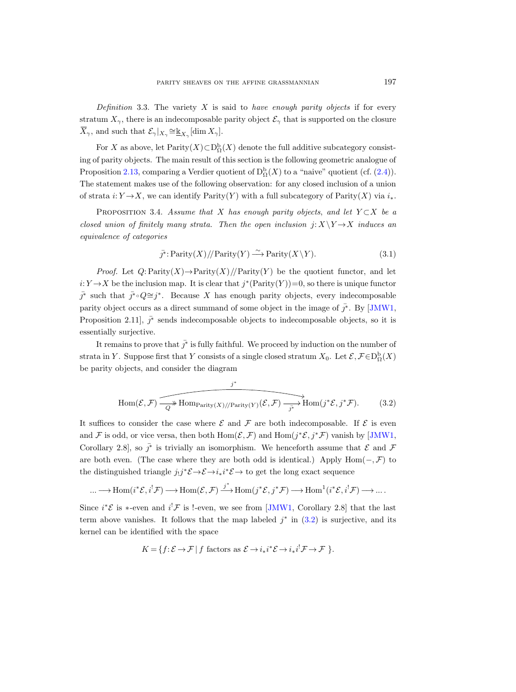Definition 3.3. The variety  $X$  is said to have enough parity objects if for every stratum  $X_{\gamma}$ , there is an indecomposable parity object  $\mathcal{E}_{\gamma}$  that is supported on the closure  $\overline{X}_{\gamma}$ , and such that  $\mathcal{E}_{\gamma}|_{X_{\gamma}} \cong \underline{\mathbb{k}}_{X_{\gamma}}[\dim X_{\gamma}].$ 

For X as above, let  $\text{Parity}(X) \subset D^b_{\Omega}(X)$  denote the full additive subcategory consisting of parity objects. The main result of this section is the following geometric analogue of Proposition [2.13,](#page-8-3) comparing a Verdier quotient of  $D^b_{\Omega}(X)$  to a "naive" quotient (cf. [\(2.4\)](#page-8-4)). The statement makes use of the following observation: for any closed inclusion of a union of strata i:  $Y \rightarrow X$ , we can identify Parity(Y) with a full subcategory of Parity(X) via  $i_*$ .

<span id="page-14-2"></span>PROPOSITION 3.4. Assume that X has enough parity objects, and let  $Y \subset X$  be a closed union of finitely many strata. Then the open inclusion  $j: X\Y \rightarrow X$  induces an equivalence of categories

<span id="page-14-1"></span>
$$
\bar{j^*} \colon \text{Parity}(X) \text{ // Parity}(Y) \xrightarrow{\sim} \text{Parity}(X \backslash Y). \tag{3.1}
$$

*Proof.* Let  $Q:$  Parity $(X)$   $\rightarrow$  Parity $(X)$  //Parity $(Y)$  be the quotient functor, and let  $i: Y \to X$  be the inclusion map. It is clear that  $j^*$ (Parity(Y))=0, so there is unique functor  $\bar{j}^*$  such that  $\bar{j}^* \circ Q \cong j^*$ . Because X has enough parity objects, every indecomposable parity object occurs as a direct summand of some object in the image of  $\bar{j}^*$ . By [\[JMW1,](#page-33-4) Proposition 2.11],  $\vec{J}^*$  sends indecomposable objects to indecomposable objects, so it is essentially surjective.

It remains to prove that  $\bar{j}^*$  is fully faithful. We proceed by induction on the number of strata in Y. Suppose first that Y consists of a single closed stratum  $X_0$ . Let  $\mathcal{E}, \mathcal{F} \in D^{\mathrm{b}}_{\Omega}(X)$ be parity objects, and consider the diagram

<span id="page-14-0"></span>
$$
\text{Hom}(\mathcal{E}, \mathcal{F}) \xrightarrow{\qquad \qquad j^*} \text{Hom}_{\text{Parity}(X)/\text{Parity}(Y)}(\mathcal{E}, \mathcal{F}) \xrightarrow{\qquad \qquad j^*} \text{Hom}(j^* \mathcal{E}, j^* \mathcal{F}).\tag{3.2}
$$

It suffices to consider the case where  $\mathcal E$  and  $\mathcal F$  are both indecomposable. If  $\mathcal E$  is even and F is odd, or vice versa, then both  $Hom(\mathcal{E}, \mathcal{F})$  and  $Hom(j^*\mathcal{E}, j^*\mathcal{F})$  vanish by [\[JMW1,](#page-33-4) Corollary 2.8, so  $\bar{j}^*$  is trivially an isomorphism. We henceforth assume that  $\mathcal E$  and  $\mathcal F$ are both even. (The case where they are both odd is identical.) Apply  $Hom(-, \mathcal{F})$  to the distinguished triangle  $j_!j^* \mathcal{E} \to \mathcal{E} \to i_*i^* \mathcal{E} \to$  to get the long exact sequence

$$
\ldots \longrightarrow \operatorname{Hom}(i^{\ast} \mathcal{E}, i^{!} \mathcal{F}) \longrightarrow \operatorname{Hom}(\mathcal{E}, \mathcal{F}) \xrightarrow{j^{\ast}} \operatorname{Hom}(j^{\ast} \mathcal{E}, j^{\ast} \mathcal{F}) \longrightarrow \operatorname{Hom}^{1}(i^{\ast} \mathcal{E}, i^{!} \mathcal{F}) \longrightarrow \ldots
$$

Since  $i^*\mathcal{E}$  is  $*$ -even and  $i^!\mathcal{F}$  is !-even, we see from [\[JMW1,](#page-33-4) Corollary 2.8] that the last term above vanishes. It follows that the map labeled  $j^*$  in  $(3.2)$  is surjective, and its kernel can be identified with the space

$$
K = \{ f \colon \mathcal{E} \to \mathcal{F} \mid f \text{ factors as } \mathcal{E} \to i_* i^* \mathcal{E} \to i_* i^! \mathcal{F} \to \mathcal{F} \}.
$$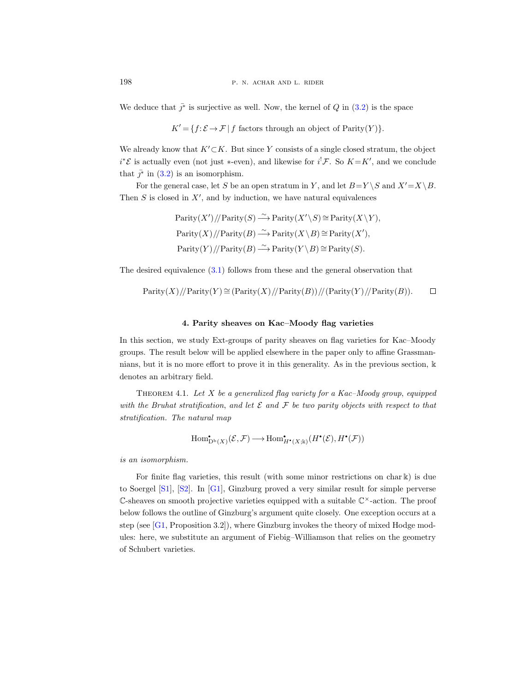We deduce that  $\bar{j}^*$  is surjective as well. Now, the kernel of Q in [\(3.2\)](#page-14-0) is the space

$$
K' = \{ f : \mathcal{E} \to \mathcal{F} \mid f \text{ factors through an object of Parity}(Y) \}.
$$

We already know that  $K'\subset K$ . But since Y consists of a single closed stratum, the object  $i^*\mathcal{E}$  is actually even (not just \*-even), and likewise for  $i^!\mathcal{F}$ . So  $K = K'$ , and we conclude that  $\bar{j}^*$  in [\(3.2\)](#page-14-0) is an isomorphism.

For the general case, let S be an open stratum in Y, and let  $B=Y \setminus S$  and  $X'=X \setminus B$ . Then  $S$  is closed in  $X'$ , and by induction, we have natural equivalences

$$
Parity(X') // Parity(S) \xrightarrow{\sim} Parity(X' \setminus S) \cong Parity(X \setminus Y),
$$
  
Parity(X) // Parity(B) \xrightarrow{\sim} Parity(X \setminus B) \cong Parity(X'),  
Parity(Y) // Parity(B) \xrightarrow{\sim} Parity(Y \setminus B) \cong Parity(S).

The desired equivalence [\(3.1\)](#page-14-1) follows from these and the general observation that

$$
Parity(X) // Parity(Y) \cong (Parity(X) // Parity(B)) // (Parity(Y) // Parity(B)). \qquad \Box
$$

# 4. Parity sheaves on Kac–Moody flag varieties

<span id="page-15-0"></span>In this section, we study Ext-groups of parity sheaves on flag varieties for Kac–Moody groups. The result below will be applied elsewhere in the paper only to affine Grassmannians, but it is no more effort to prove it in this generality. As in the previous section, k denotes an arbitrary field.

<span id="page-15-1"></span>THEOREM 4.1. Let  $X$  be a generalized flag variety for a Kac–Moody group, equipped with the Bruhat stratification, and let  $\mathcal E$  and  $\mathcal F$  be two parity objects with respect to that stratification. The natural map

$$
\operatorname{Hom}^{\scriptscriptstyle\bullet}_{\mathbf{D}^{\rm b}(X)}(\mathcal{E},\mathcal{F})\longrightarrow \operatorname{Hom}^{\scriptscriptstyle\bullet}_{H^{\scriptscriptstyle\bullet}(X;\Bbbk)}(H^{\scriptscriptstyle\bullet}(\mathcal{E}),H^{\scriptscriptstyle\bullet}(\mathcal{F}))
$$

is an isomorphism.

For finite flag varieties, this result (with some minor restrictions on char k) is due to Soergel [\[S1\]](#page-33-10), [\[S2\]](#page-33-11). In [\[G1\]](#page-32-12), Ginzburg proved a very similar result for simple perverse  $\mathbb C$ -sheaves on smooth projective varieties equipped with a suitable  $\mathbb C^{\times}$ -action. The proof below follows the outline of Ginzburg's argument quite closely. One exception occurs at a step (see [\[G1,](#page-32-12) Proposition 3.2]), where Ginzburg invokes the theory of mixed Hodge modules: here, we substitute an argument of Fiebig–Williamson that relies on the geometry of Schubert varieties.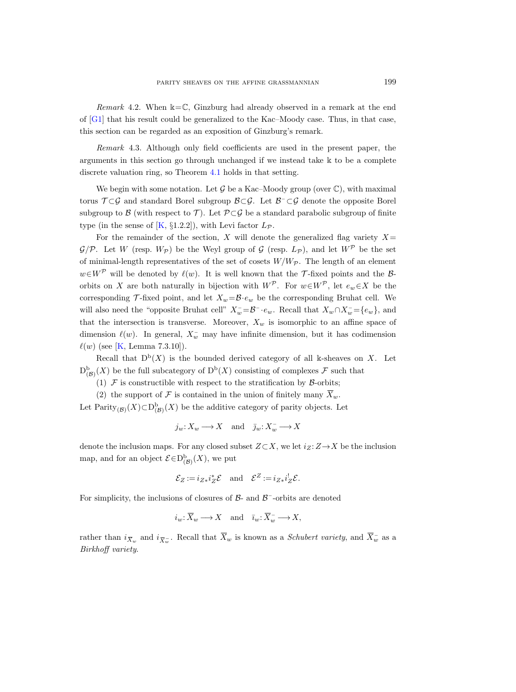Remark 4.2. When  $k=C$ , Ginzburg had already observed in a remark at the end of  $[G1]$  that his result could be generalized to the Kac–Moody case. Thus, in that case, this section can be regarded as an exposition of Ginzburg's remark.

Remark 4.3. Although only field coefficients are used in the present paper, the arguments in this section go through unchanged if we instead take k to be a complete discrete valuation ring, so Theorem [4.1](#page-15-1) holds in that setting.

We begin with some notation. Let  $\mathcal G$  be a Kac–Moody group (over  $\mathbb C$ ), with maximal torus  $\mathcal{T} \subset \mathcal{G}$  and standard Borel subgroup  $\mathcal{B} \subset \mathcal{G}$ . Let  $\mathcal{B}^- \subset \mathcal{G}$  denote the opposite Borel subgroup to B (with respect to T). Let  $\mathcal{P} \subset \mathcal{G}$  be a standard parabolic subgroup of finite type (in the sense of [\[K,](#page-33-12) §1.2.2]), with Levi factor  $L_{\mathcal{P}}$ .

For the remainder of the section, X will denote the generalized flag variety  $X=$  $\mathcal{G}/\mathcal{P}$ . Let W (resp.  $W_{\mathcal{P}}$ ) be the Weyl group of  $\mathcal{G}$  (resp.  $L_{\mathcal{P}}$ ), and let  $W^{\mathcal{P}}$  be the set of minimal-length representatives of the set of cosets  $W/W_{\mathcal{P}}$ . The length of an element  $w \in W^{\mathcal{P}}$  will be denoted by  $\ell(w)$ . It is well known that the T-fixed points and the Borbits on X are both naturally in bijection with  $W^{\mathcal{P}}$ . For  $w \in W^{\mathcal{P}}$ , let  $e_w \in X$  be the corresponding  $\mathcal T$ -fixed point, and let  $X_w = \mathcal B \cdot e_w$  be the corresponding Bruhat cell. We will also need the "opposite Bruhat cell"  $X_w^- = \mathcal{B}^- \cdot e_w$ . Recall that  $X_w \cap X_w^- = \{e_w\}$ , and that the intersection is transverse. Moreover,  $X_w$  is isomorphic to an affine space of dimension  $\ell(w)$ . In general,  $X_w^-$  may have infinite dimension, but it has codimension  $\ell(w)$  (see [\[K,](#page-33-12) Lemma 7.3.10]).

Recall that  $D^b(X)$  is the bounded derived category of all k-sheaves on X. Let  $D^{\mathrm{b}}_{(\mathcal{B})}(X)$  be the full subcategory of  $D^{\mathrm{b}}(X)$  consisting of complexes  $\mathcal F$  such that

(1)  $\mathcal F$  is constructible with respect to the stratification by  $\mathcal B$ -orbits;

(2) the support of F is contained in the union of finitely many  $\overline{X}_w$ .

Let Parity<sub>(B)</sub>(X)⊂D<sub>(B)</sub>(X) be the additive category of parity objects. Let

$$
j_w\colon\! X_w\longrightarrow X\quad\text{and}\quad \bar\jmath_w\colon\! X_w^-\longrightarrow X
$$

denote the inclusion maps. For any closed subset  $Z \subset X$ , we let  $i_Z: Z \to X$  be the inclusion map, and for an object  $\mathcal{E} \in D^{\mathbf{b}}_{(\mathcal{B})}(X)$ , we put

$$
\mathcal{E}_Z := i_{Z*} i_Z^* \mathcal{E} \quad \text{and} \quad \mathcal{E}^Z := i_{Z*} i_Z^! \mathcal{E}.
$$

For simplicity, the inclusions of closures of  $\beta$ - and  $\beta$ <sup>-</sup>-orbits are denoted

$$
i_w\colon \overline{X}_w\longrightarrow X\quad\text{and}\quad \overline{i}_w\colon \overline{X}_w^-\longrightarrow X,
$$

rather than  $i_{\bar{X}_w}$  and  $i_{\bar{X}_w}$ . Recall that  $\bar{X}_w$  is known as a *Schubert variety*, and  $\bar{X}_w$  as a Birkhoff variety.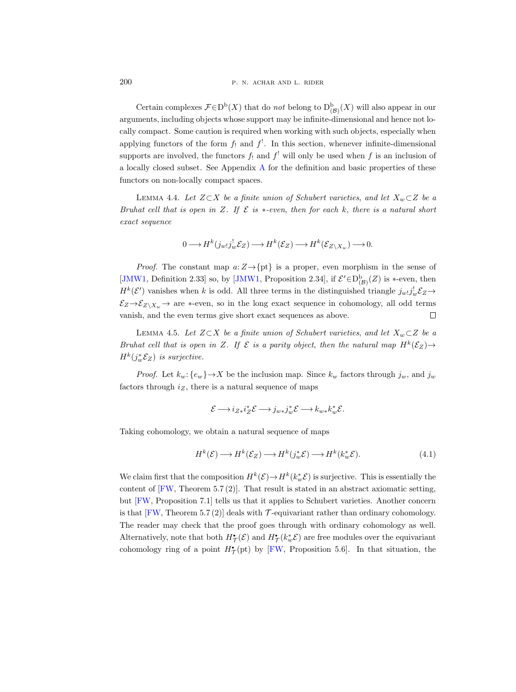200 P. N. ACHAR AND L. RIDER

Certain complexes  $\mathcal{F} \in D^b(X)$  that do not belong to  $D^b_{(\mathcal{B})}(X)$  will also appear in our arguments, including objects whose support may be infinite-dimensional and hence not locally compact. Some caution is required when working with such objects, especially when applying functors of the form  $f_!$  and  $f^!$ . In this section, whenever infinite-dimensional supports are involved, the functors  $f_!$  and  $f_!$  will only be used when f is an inclusion of a locally closed subset. See Appendix [A](#page-30-0) for the definition and basic properties of these functors on non-locally compact spaces.

LEMMA 4.4. Let  $Z\subset X$  be a finite union of Schubert varieties, and let  $X_w\subset Z$  be a Bruhat cell that is open in Z. If  $\mathcal E$  is  $*-even$ , then for each k, there is a natural short exact sequence

$$
0\longrightarrow H^k(j_{w!}j_w^!\mathcal{E}_Z)\longrightarrow H^k(\mathcal{E}_Z)\longrightarrow H^k(\mathcal{E}_{Z\backslash X_w})\longrightarrow 0.
$$

*Proof.* The constant map  $a:Z \rightarrow \{pt\}$  is a proper, even morphism in the sense of [\[JMW1,](#page-33-4) Definition 2.33] so, by [\[JMW1,](#page-33-4) Proposition 2.34], if  $\mathcal{E}' \in D^b_{(\mathcal{B})}(Z)$  is \*-even, then  $H^k(\mathcal{E}')$  vanishes when k is odd. All three terms in the distinguished triangle  $j_{w}$ ;  $j_w^!$   $\mathcal{E}_Z \rightarrow$  $\mathcal{E}_Z \rightarrow \mathcal{E}_{Z\setminus X_w}$  are ∗-even, so in the long exact sequence in cohomology, all odd terms vanish, and the even terms give short exact sequences as above.  $\Box$ 

LEMMA 4.5. Let  $Z \subset X$  be a finite union of Schubert varieties, and let  $X_w \subset Z$  be a Bruhat cell that is open in Z. If  $\mathcal E$  is a parity object, then the natural map  $H^k(\mathcal E_Z) \to$  $H^k(j_w^*\mathcal{E}_Z)$  is surjective.

*Proof.* Let  $k_w: \{e_w\} \to X$  be the inclusion map. Since  $k_w$  factors through  $j_w$ , and  $j_w$ factors through  $i_Z$ , there is a natural sequence of maps

$$
\mathcal{E} \longrightarrow i_{Z*} i_Z^* \mathcal{E} \longrightarrow j_{w*} j_w^* \mathcal{E} \longrightarrow k_{w*} k_w^* \mathcal{E}.
$$

Taking cohomology, we obtain a natural sequence of maps

<span id="page-17-0"></span>
$$
H^k(\mathcal{E}) \longrightarrow H^k(\mathcal{E}_Z) \longrightarrow H^k(j_w^*\mathcal{E}) \longrightarrow H^k(k_w^*\mathcal{E}).\tag{4.1}
$$

We claim first that the composition  $H^k(\mathcal{E}) \to H^k(k_w^*\mathcal{E})$  is surjective. This is essentially the content of [\[FW,](#page-32-13) Theorem 5.7 (2)]. That result is stated in an abstract axiomatic setting, but [\[FW,](#page-32-13) Proposition 7.1] tells us that it applies to Schubert varieties. Another concern is that  $[FW, Theorem 5.7 (2)]$  deals with T-equivariant rather than ordinary cohomology. The reader may check that the proof goes through with ordinary cohomology as well. Alternatively, note that both  $H^{\bullet}_{\mathcal{T}}(\mathcal{E})$  and  $H^{\bullet}_{\mathcal{T}}(k_w^*\mathcal{E})$  are free modules over the equivariant cohomology ring of a point  $H^{\bullet}_{\mathcal{T}}(\text{pt})$  by [\[FW,](#page-32-13) Proposition 5.6]. In that situation, the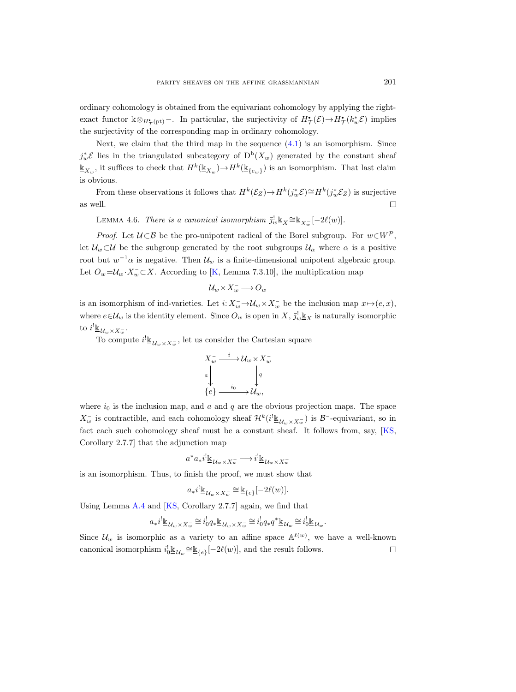ordinary cohomology is obtained from the equivariant cohomology by applying the rightexact functor  $\Bbbk \otimes_{H^{\bullet}_{\mathcal{T}}(\mathrm{pt})}$  - In particular, the surjectivity of  $H^{\bullet}_{\mathcal{T}}(\mathcal{E}) \to H^{\bullet}_{\mathcal{T}}(k_w^*\mathcal{E})$  implies the surjectivity of the corresponding map in ordinary cohomology.

Next, we claim that the third map in the sequence  $(4.1)$  is an isomorphism. Since  $j_w^* \mathcal{E}$  lies in the triangulated subcategory of  $D^b(X_w)$  generated by the constant sheaf  $\underline{\mathbb{K}}_{X_w}$ , it suffices to check that  $H^k(\underline{\mathbb{K}}_{X_w}) \to H^k(\underline{\mathbb{K}}_{\{e_w\}})$  is an isomorphism. That last claim is obvious.

From these observations it follows that  $H^k(\mathcal{E}_Z) \to H^k(j_w^*\mathcal{E}) \cong H^k(j_w^*\mathcal{E}_Z)$  is surjective  $\Box$ as well.

<span id="page-18-0"></span>LEMMA 4.6. There is a canonical isomorphism  $\bar{j}_w^! \underline{\mathbb{k}}_X \cong \underline{\mathbb{k}}_{X_w^-}[-2\ell(w)]$ .

*Proof.* Let  $U \subset \mathcal{B}$  be the pro-unipotent radical of the Borel subgroup. For  $w \in W^{\mathcal{P}}$ , let  $U_w \subset U$  be the subgroup generated by the root subgroups  $U_\alpha$  where  $\alpha$  is a positive root but  $w^{-1}\alpha$  is negative. Then  $\mathcal{U}_w$  is a finite-dimensional unipotent algebraic group. Let  $O_w = \mathcal{U}_w \cdot X_w^- \subset X$ . According to [\[K,](#page-33-12) Lemma 7.3.10], the multiplication map

$$
\mathcal{U}_w \times X_w^- \longrightarrow O_w
$$

is an isomorphism of ind-varieties. Let  $i: X_w^- \to \mathcal{U}_w \times X_w^-$  be the inclusion map  $x \mapsto (e, x)$ , where  $e \in \mathcal{U}_w$  is the identity element. Since  $O_w$  is open in  $X, \bar{J}_w^{\perp} \mathbb{K}_X$  is naturally isomorphic to  $i^!$ <u>k</u>  $u_w \times x_w^-$ .

To compute  $i^! \underline{\mathbb{k}}_{\mathcal{U}_w \times X_w^-}$ , let us consider the Cartesian square

$$
X_w^- \xrightarrow{i} \mathcal{U}_w \times X_w^-
$$
  
\n
$$
\downarrow \qquad \qquad \downarrow q
$$
  
\n
$$
\downarrow \qquad \qquad \downarrow q
$$
  
\n
$$
\downarrow e
$$
  
\n
$$
\downarrow \qquad \qquad \downarrow q
$$
  
\n
$$
\downarrow e
$$

where  $i_0$  is the inclusion map, and a and q are the obvious projection maps. The space  $X_w^-$  is contractible, and each cohomology sheaf  $\mathcal{H}^k(i^! \underline{\mathbb{k}}_{\mathcal{U}_w \times X_w^-})$  is  $\mathcal{B}^-$ -equivariant, so in fact each such cohomology sheaf must be a constant sheaf. It follows from, say, [\[KS,](#page-33-13) Corollary 2.7.7] that the adjunction map

$$
a^*a_*i^!{\underline{\mathbb k}}_{\mathcal U_w\times X_w^-}\longrightarrow i^!{\underline{\mathbb k}}_{\mathcal U_w\times X_w^-}
$$

is an isomorphism. Thus, to finish the proof, we must show that

$$
a_*i^!{\underline{\underline{\Bbbk}}_{\mathcal{U}_w\times X_w^-}}\!\cong\!{\underline{\Bbbk}}_{\{e\}}[-2\ell(w)].
$$

Using Lemma [A.4](#page-32-14) and [\[KS,](#page-33-13) Corollary 2.7.7] again, we find that

$$
a_*i^!{\underline{\mathbb{k}}}_{\mathcal{U}_w\times X_w^-}\cong i_0^!q_*{\underline{\mathbb{k}}}_{\mathcal{U}_w\times X_w^-}\cong i_0^!q_*q^*{\underline{\mathbb{k}}}_{\mathcal{U}_w}\cong i_0^!{\underline{\mathbb{k}}}_{\mathcal{U}_w}.
$$

Since  $\mathcal{U}_w$  is isomorphic as a variety to an affine space  $\mathbb{A}^{\ell(w)}$ , we have a well-known canonical isomorphism  $i_0^! \underline{\mathbb{R}}_{\{e\}} \leq \underline{\mathbb{K}}_{\{e\}} [-2\ell(w)]$ , and the result follows.  $\Box$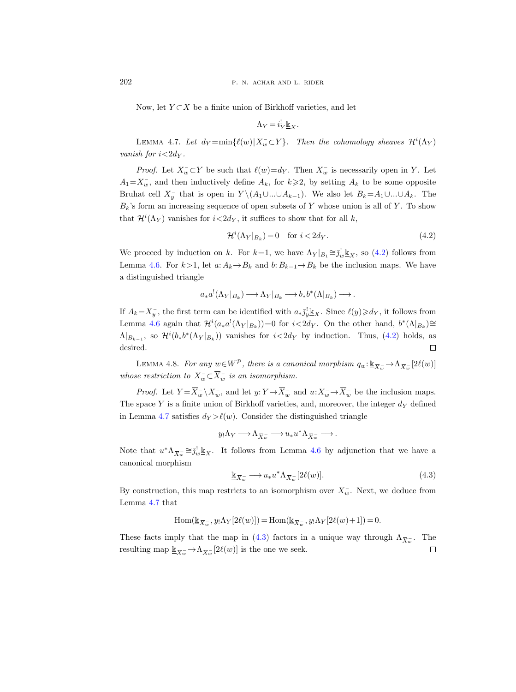Now, let  $Y \subset X$  be a finite union of Birkhoff varieties, and let

$$
\Lambda_Y = i_Y^! \underline{\mathbb{k}}_X.
$$

<span id="page-19-1"></span>LEMMA 4.7. Let  $d_Y = \min{\{\ell(w)|X_w^- \subset Y\}}$ . Then the cohomology sheaves  $\mathcal{H}^i(\Lambda_Y)$ vanish for  $i < 2d<sub>Y</sub>$ .

*Proof.* Let  $X_w^- \subset Y$  be such that  $\ell(w) = d_Y$ . Then  $X_w^-$  is necessarily open in Y. Let  $A_1 = X_w^-$ , and then inductively define  $A_k$ , for  $k \geq 2$ , by setting  $A_k$  to be some opposite Bruhat cell  $X_y^-$  that is open in  $Y \setminus (A_1 \cup ... \cup A_{k-1})$ . We also let  $B_k = A_1 \cup ... \cup A_k$ . The  $B_k$ 's form an increasing sequence of open subsets of Y whose union is all of Y. To show that  $\mathcal{H}^i(\Lambda_Y)$  vanishes for  $i \langle 2d_Y, 1 \rangle$  it suffices to show that for all k,

<span id="page-19-0"></span>
$$
\mathcal{H}^i(\Lambda_Y|_{B_k}) = 0 \quad \text{for } i < 2d_Y. \tag{4.2}
$$

We proceed by induction on k. For  $k=1$ , we have  $\Lambda_Y|_{B_1} \cong \overline{j_w^l} \mathbb{E}_X$ , so [\(4.2\)](#page-19-0) follows from Lemma [4.6.](#page-18-0) For  $k>1$ , let  $a: A_k \to B_k$  and  $b: B_{k-1} \to B_k$  be the inclusion maps. We have a distinguished triangle

$$
a_* a^! (\Lambda_Y|_{B_k}) \longrightarrow \Lambda_Y|_{B_k} \longrightarrow b_* b^* (\Lambda|_{B_k}) \longrightarrow.
$$

If  $A_k = X_y^-$ , the first term can be identified with  $a_*\overline{j}_y^{\dagger} \mathbf{k}_X$ . Since  $\ell(y) \geq d_Y$ , it follows from Lemma [4.6](#page-18-0) again that  $\mathcal{H}^i(a_* a^!(\Lambda_Y|_{B_k}))=0$  for  $i<2d_Y$ . On the other hand,  $b^*(\Lambda|_{B_k})\cong$  $\Lambda|_{B_{k-1}}$ , so  $\mathcal{H}^{i}(b_*b^*(\Lambda_Y|_{B_k}))$  vanishes for  $i<2d_Y$  by induction. Thus, [\(4.2\)](#page-19-0) holds, as desired.  $\Box$ 

LEMMA 4.8. For any  $w \in W^{\mathcal{P}}$ , there is a canonical morphism  $q_w : \underline{\mathbb{K}}_{\overline{X_w}} \to \Lambda_{\overline{X_w}}[2\ell(w)]$ whose restriction to  $X_w^- \subset \overline{X}_w^-$  is an isomorphism.

*Proof.* Let  $Y = \overline{X}_{w}^{-} \setminus X_{w}^{-}$ , and let  $y: Y \to \overline{X}_{w}^{-}$  and  $u: X_{w}^{-} \to \overline{X}_{w}^{-}$  be the inclusion maps. The space Y is a finite union of Birkhoff varieties, and, moreover, the integer  $d<sub>Y</sub>$  defined in Lemma [4.7](#page-19-1) satisfies  $d_Y > \ell(w)$ . Consider the distinguished triangle

$$
y_!\Lambda_Y\longrightarrow \Lambda_{\widetilde{X_w}^-}\longrightarrow u_*u^*\Lambda_{\widetilde{X_w}^-}\longrightarrow.
$$

Note that  $u^*\Lambda_{\overline{X}_w} \cong \overline{j}_w^! \underline{\mathbb{K}}_X$ . It follows from Lemma [4.6](#page-18-0) by adjunction that we have a canonical morphism

<span id="page-19-2"></span>
$$
\underline{\mathbb{k}}_{\overline{X}_w^-} \longrightarrow u_* u^* \Lambda_{\overline{X}_w^-} [2\ell(w)]. \tag{4.3}
$$

By construction, this map restricts to an isomorphism over  $X_w^-$ . Next, we deduce from Lemma [4.7](#page-19-1) that

$$
\mathrm{Hom}(\underline{\Bbbk}_{\overline{X}_w^-},y_!\Lambda_Y[2\ell(w)])=\mathrm{Hom}(\underline{\Bbbk}_{\overline{X}_w^-},y_!\Lambda_Y[2\ell(w)+1])=0.
$$

These facts imply that the map in [\(4.3\)](#page-19-2) factors in a unique way through  $\Lambda_{\overline{X}_w}$ . The resulting map  $\underline{\mathbb{K}}_{\overline{X_w}} \to \Lambda_{\overline{X_w}}[2\ell(w)]$  is the one we seek.  $\Box$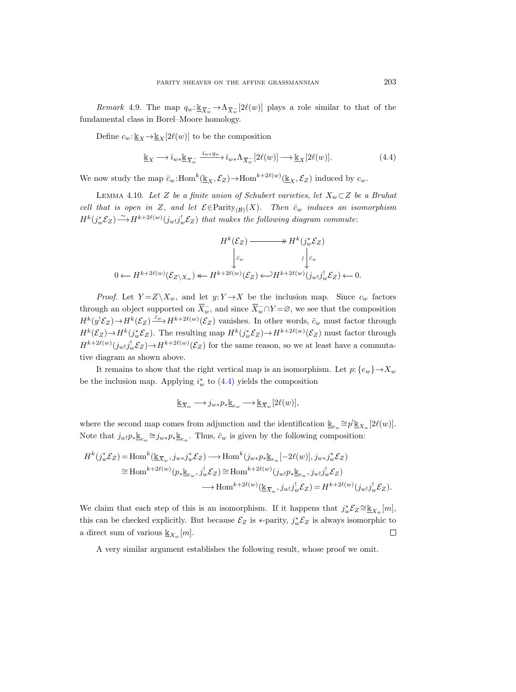Remark 4.9. The map  $q_w: \underline{\mathbb{K}}_{\overline{X_w}} \to \Lambda_{\overline{X_w}}[2\ell(w)]$  plays a role similar to that of the fundamental class in Borel–Moore homology.

Define  $c_w: \underline{\mathbb{k}}_X \to \underline{\mathbb{k}}_X[2\ell(w)]$  to be the composition

<span id="page-20-0"></span>
$$
\underline{\mathbb{k}}_X \longrightarrow \overline{\imath}_{w*} \underline{\mathbb{k}}_{\overline{X}_w} \xrightarrow{\overline{\imath}_{w*} q_w} \overline{\imath}_{w*} \Lambda_{\overline{X}_w} [2\ell(w)] \longrightarrow \underline{\mathbb{k}}_X [2\ell(w)]. \tag{4.4}
$$

We now study the map  $\bar{c}_w$ :Hom<sup>k</sup> $(\underline{\mathbb{k}}_X, \mathcal{E}_Z) \to$ Hom<sup>k+2 $\ell(w)$ </sup> $(\underline{\mathbb{k}}_X, \mathcal{E}_Z)$  induced by  $c_w$ .

<span id="page-20-1"></span>LEMMA 4.10. Let Z be a finite union of Schubert varieties, let  $X_w \subset Z$  be a Bruhat cell that is open in Z, and let  $\mathcal{E} \in \text{Parity}_{(\mathcal{B})}(X)$ . Then  $\bar{c}_w$  induces an isomorphism  $H^k(j_w^*\mathcal{E}_Z) \frac{\sim}{H^{k+2\ell(w)}(j_w; j_w^!\mathcal{E}_Z)}$  that makes the following diagram commute:

$$
\begin{array}{ccc} & H^{k}(\mathcal{E}_Z) \longrightarrow & H^{k}(j_{w}^{*}\mathcal{E}_Z) \\ & \Big\downarrow_{\bar{c}_{w}} & \Big\downarrow_{\bar{c}_{w}} \\ 0 \longleftarrow & H^{k+2\ell(w)}(\mathcal{E}_{Z\backslash X_{w}}) \longleftarrow & H^{k+2\ell(w)}(\mathcal{E}_Z) \longleftarrow & H^{k+2\ell(w)}(j_{w!}j_{w}^{!}\mathcal{E}_Z) \longleftarrow & 0. \end{array}
$$

*Proof.* Let  $Y = Z \ X_w$ , and let  $y: Y \to X$  be the inclusion map. Since  $c_w$  factors through an object supported on  $\overline{X}_{w}^{-}$ , and since  $\overline{X}_{w}^{-} \cap Y = \emptyset$ , we see that the composition  $H^k(y^!\mathcal{E}_Z) \rightarrow H^k(\mathcal{E}_Z) \xrightarrow{\bar{c}_w} H^{k+2\ell(w)}(\mathcal{E}_Z)$  vanishes. In other words,  $\bar{c}_w$  must factor through  $H^k(\mathcal{E}_Z) \to H^k(j_w^*\mathcal{E}_Z)$ . The resulting map  $H^k(j_w^*\mathcal{E}_Z) \to H^{k+2\ell(w)}(\mathcal{E}_Z)$  must factor through  $H^{k+2\ell(w)}(j_w j_w^! \mathcal{E}_Z) \rightarrow H^{k+2\ell(w)}(\mathcal{E}_Z)$  for the same reason, so we at least have a commutative diagram as shown above.

It remains to show that the right vertical map is an isomorphism. Let  $p: \{e_w\} \rightarrow X_w$ be the inclusion map. Applying  $i_w^*$  to  $(4.4)$  yields the composition

$$
\underline{\Bbbk}_{\overline{X}_w}\longrightarrow j_{w*}p_*\underline{\Bbbk}_{e_w}\longrightarrow \underline{\Bbbk}_{\overline{X}_w}[2\ell(w)],
$$

where the second map comes from adjunction and the identification  $\mathbb{E}_{e_w} \cong p^! \mathbb{E}_{X_w} [2\ell(w)]$ . Note that  $j_w \cdot p_* \underline{\mathbb{K}}_{e_w} \cong j_{w*} p_* \underline{\mathbb{K}}_{e_w}$ . Thus,  $\bar{c}_w$  is given by the following composition:

$$
H^k(j_w^*\mathcal{E}_Z) = \text{Hom}^k(\underline{\mathbb{k}}_{\overline{X}_w}, j_{w*}j_w^*\mathcal{E}_Z) \longrightarrow \text{Hom}^k(j_{w*}p_*\underline{\mathbb{k}}_{e_w}[-2\ell(w)], j_{w*}j_w^*\mathcal{E}_Z)
$$
  
\n
$$
\cong \text{Hom}^{k+2\ell(w)}(p_*\underline{\mathbb{k}}_{e_w}, j_w^!\mathcal{E}_Z) \cong \text{Hom}^{k+2\ell(w)}(j_{w!}p_*\underline{\mathbb{k}}_{e_w}, j_{w!}j_w^!\mathcal{E}_Z)
$$
  
\n
$$
\longrightarrow \text{Hom}^{k+2\ell(w)}(\underline{\mathbb{k}}_{\overline{X}_w}, j_{w!}j_w^!\mathcal{E}_Z) = H^{k+2\ell(w)}(j_{w!}j_w^!\mathcal{E}_Z).
$$

We claim that each step of this is an isomorphism. If it happens that  $j_w^* \mathcal{E}_Z \cong \underline{\mathbb{k}}_{X_w}[m],$ this can be checked explicitly. But because  $\mathcal{E}_Z$  is \*-parity,  $j_w^*\mathcal{E}_Z$  is always isomorphic to a direct sum of various  $\underline{\mathbb{k}}_{X_w}[m]$ .  $\Box$ 

A very similar argument establishes the following result, whose proof we omit.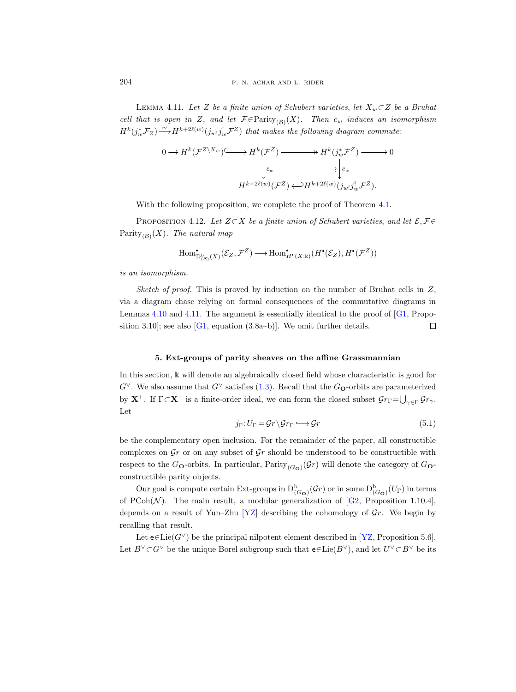<span id="page-21-1"></span>LEMMA 4.11. Let Z be a finite union of Schubert varieties, let  $X_w \subset Z$  be a Bruhat cell that is open in Z, and let  $\mathcal{F} \in \text{Parity}_{(\mathcal{B})}(X)$ . Then  $\bar{c}_w$  induces an isomorphism  $H^k(j_w^*\mathcal{F}_Z)\mathop{\longrightarrow}\limits^{\sim} H^{k+2\ell(w)}(j_{w!}j_w^!\mathcal{F}^Z)$  that makes the following diagram commute:

$$
0 \longrightarrow H^k(\mathcal{F}^{Z \setminus X_w}) \longrightarrow H^k(\mathcal{F}^Z) \longrightarrow H^k(j_w^*\mathcal{F}^Z) \longrightarrow 0
$$
  

$$
\downarrow_{\tilde{c}_w}^{\tilde{c}_w} \qquad \qquad \downarrow_{\tilde{c}_w}^{\tilde{c}_w}
$$
  

$$
H^{k+2\ell(w)}(\mathcal{F}^Z) \longleftrightarrow H^{k+2\ell(w)}(j_w, j_w^!\mathcal{F}^Z).
$$

With the following proposition, we complete the proof of Theorem [4.1.](#page-15-1)

PROPOSITION 4.12. Let  $Z\subset X$  be a finite union of Schubert varieties, and let  $\mathcal{E}, \mathcal{F} \in$ Parity<sub>(B)</sub>(X). The natural map

$$
\operatorname{Hom}^{\:\:\! \scriptscriptstyle\bullet}_{\operatorname{D}^{\rm b}_{(\mathcal{B})}(X)}(\mathcal{E}_Z,\mathcal{F}^Z)\longrightarrow \operatorname{Hom}^{\:\:\! \scriptscriptstyle\bullet}_{H^{\:\:\! \scriptscriptstyle\bullet}(X;\Bbbk)}(H^{\:\:\! \scriptscriptstyle\bullet}(\mathcal{E}_Z),H^{\:\:\! \scriptscriptstyle\bullet}(\mathcal{F}^Z))
$$

is an isomorphism.

Sketch of proof. This is proved by induction on the number of Bruhat cells in  $Z$ , via a diagram chase relying on formal consequences of the commutative diagrams in Lemmas [4.10](#page-20-1) and [4.11.](#page-21-1) The argument is essentially identical to the proof of  $[G1, Prop$ sition 3.10]; see also  $[G1, equation (3.8a-b)].$  We omit further details.  $\Box$ 

## 5. Ext-groups of parity sheaves on the affine Grassmannian

<span id="page-21-0"></span>In this section,  $\mathbb k$  will denote an algebraically closed field whose characteristic is good for  $G^{\vee}$ . We also assume that  $G^{\vee}$  satisfies [\(1.3\)](#page-2-1). Recall that the  $G_{\mathbf{O}}$ -orbits are parameterized by  $X^+$ . If  $\Gamma \subset X^+$  is a finite-order ideal, we can form the closed subset  $\mathcal{G}r_{\Gamma} = \bigcup_{\gamma \in \Gamma} \mathcal{G}r_{\gamma}$ . Let

<span id="page-21-2"></span>
$$
j_{\Gamma} : U_{\Gamma} = \mathcal{G}r \backslash \mathcal{G}r_{\Gamma} \longrightarrow \mathcal{G}r \tag{5.1}
$$

be the complementary open inclusion. For the remainder of the paper, all constructible complexes on  $\mathcal{G}_r$  or on any subset of  $\mathcal{G}_r$  should be understood to be constructible with respect to the G<sub>O</sub>-orbits. In particular,  $\text{Parity}_{(G_O)}(\mathcal{G}_r)$  will denote the category of G<sub>O</sub>constructible parity objects.

Our goal is compute certain Ext-groups in  $D^b_{(G_O)}(\mathcal{G}_r)$  or in some  $D^b_{(G_O)}(U_\Gamma)$  in terms of PCoh( $\mathcal{N}$ ). The main result, a modular generalization of [\[G2,](#page-32-0) Proposition 1.10.4], depends on a result of Yun–Zhu  $[YZ]$  describing the cohomology of  $\mathcal{G}_r$ . We begin by recalling that result.

Let  $e \in Lie(G^{\vee})$  be the principal nilpotent element described in [\[YZ,](#page-33-14) Proposition 5.6]. Let  $B^{\vee} \subset G^{\vee}$  be the unique Borel subgroup such that  $e \in Lie(B^{\vee})$ , and let  $U^{\vee} \subset B^{\vee}$  be its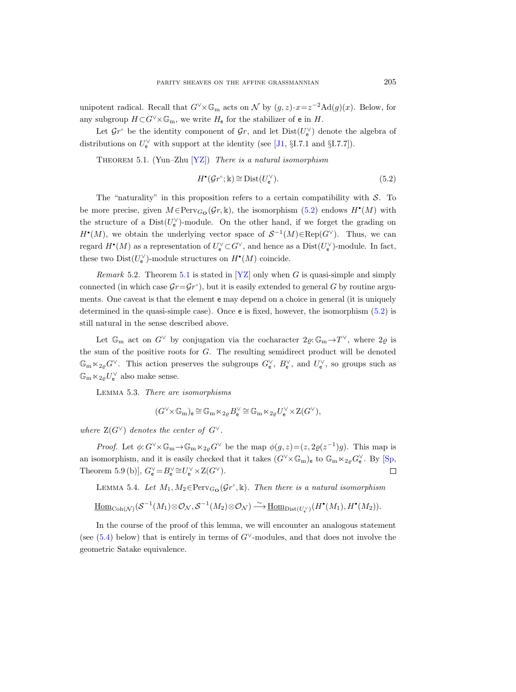unipotent radical. Recall that  $G^{\vee}\times \mathbb{G}_{m}$  acts on  $\mathcal N$  by  $(g, z) \cdot x = z^{-2} \text{Ad}(g)(x)$ . Below, for any subgroup  $H \subset G^{\vee} \times \mathbb{G}_{m}$ , we write  $H_{e}$  for the stabilizer of e in H.

Let  $\mathcal{G}r^{\circ}$  be the identity component of  $\mathcal{G}r$ , and let  $Dist(U_{e}^{\vee})$  denote the algebra of distributions on  $U_{e}^{\vee}$  with support at the identity (see [\[J1,](#page-33-15) §I.7.1 and §I.7.7]).

<span id="page-22-1"></span>THEOREM 5.1. (Yun–Zhu  $[YZ]$ ) There is a natural isomorphism

<span id="page-22-0"></span>
$$
H^{\bullet}(\mathcal{G}r^{\circ}; \Bbbk) \cong \text{Dist}(U_{\mathsf{e}}^{\vee}).\tag{5.2}
$$

The "naturality" in this proposition refers to a certain compatibility with  $S$ . To be more precise, given  $M \in \text{Perv}_{G_{\mathbf{O}}}(\mathcal{G}_r, \mathbb{k})$ , the isomorphism  $(5.2)$  endows  $H^{\bullet}(M)$  with the structure of a  $Dist(U_{e}^{\vee})$ -module. On the other hand, if we forget the grading on  $H^{\bullet}(M)$ , we obtain the underlying vector space of  $S^{-1}(M) \in \text{Rep}(G^{\vee})$ . Thus, we can regard  $H^{\bullet}(M)$  as a representation of  $U_{\mathbf{e}}^{\vee} \subset G^{\vee}$ , and hence as a  $Dist(U_{\mathbf{e}}^{\vee})$ -module. In fact, these two  $Dist(U_{\mathbf{e}}^{\vee})$ -module structures on  $H^{\bullet}(M)$  coincide.

*Remark* 5.2. Theorem [5.1](#page-22-1) is stated in [\[YZ\]](#page-33-14) only when G is quasi-simple and simply connected (in which case  $\mathcal{G}r = \mathcal{G}r^{\circ}$ ), but it is easily extended to general G by routine arguments. One caveat is that the element e may depend on a choice in general (it is uniquely determined in the quasi-simple case). Once e is fixed, however, the isomorphism [\(5.2\)](#page-22-0) is still natural in the sense described above.

Let  $\mathbb{G}_{m}$  act on  $G^{\vee}$  by conjugation via the cocharacter  $2\varrho:\mathbb{G}_{m}\to T^{\vee}$ , where  $2\varrho$  is the sum of the positive roots for  $G$ . The resulting semidirect product will be denoted  $\mathbb{G}_{m} \ltimes_{2\varrho} G^{\vee}$ . This action preserves the subgroups  $G_{e}^{\vee}$ ,  $B_{e}^{\vee}$ , and  $U_{e}^{\vee}$ , so groups such as  $\mathbb{G}_{\mathrm{m}} \ltimes_{2\varrho} U^\vee_\mathsf{e}$  also make sense.

<span id="page-22-2"></span>Lemma 5.3. There are isomorphisms

$$
(G^\vee \!\!\times\! \mathbb{G}_{\mathrm{m}})_{\mathrm{e}} \, \widehat{=}\, \mathbb{G}_{\mathrm{m}}\ltimes_{2\varrho} B_{\mathrm{e}}^\vee \, \widehat{=}\, \mathbb{G}_{\mathrm{m}}\ltimes_{2\varrho} U_{\mathrm{e}}^\vee \!\times\! \mathbf{Z}(G^\vee),
$$

where  $Z(G^{\vee})$  denotes the center of  $G^{\vee}$ .

*Proof.* Let  $\phi: G^{\vee}\times \mathbb{G}_{m} \to \mathbb{G}_{m} \times_{2g} G^{\vee}$  be the map  $\phi(g, z) = (z, 2g(z^{-1})g)$ . This map is an isomorphism, and it is easily checked that it takes  $(G^{\vee}\times\mathbb{G}_{m})_{e}$  to  $\mathbb{G}_{m}\ltimes_{2\varrho}G_{e}^{\vee}$ . By [\[Sp,](#page-33-16) Theorem 5.9 (b)],  $G_{\mathsf{e}}^{\vee} = B_{\mathsf{e}}^{\vee} \cong U_{\mathsf{e}}^{\vee} \times \mathbf{Z}(G^{\vee}).$  $\Box$ 

<span id="page-22-3"></span>LEMMA 5.4. Let  $M_1, M_2 \in \text{Perv}_{G_{\mathbf{O}}}(\mathcal{G}r^{\circ}, \mathbb{k})$ . Then there is a natural isomorphism

$$
\underline{\mathrm{Hom}}_{\mathrm{Coh}(\mathcal{N})}(\mathcal{S}^{-1}(M_1) \otimes \mathcal{O}_{\mathcal{N}}, \mathcal{S}^{-1}(M_2) \otimes \mathcal{O}_{\mathcal{N}}) \xrightarrow{\sim} \underline{\mathrm{Hom}}_{\mathrm{Dist}(U^{\vee}_{\mathbf{e}})}(H^{\bullet}(M_1), H^{\bullet}(M_2)).
$$

In the course of the proof of this lemma, we will encounter an analogous statement (see [\(5.4\)](#page-23-0) below) that is entirely in terms of  $G<sup>\vee</sup>$ -modules, and that does not involve the geometric Satake equivalence.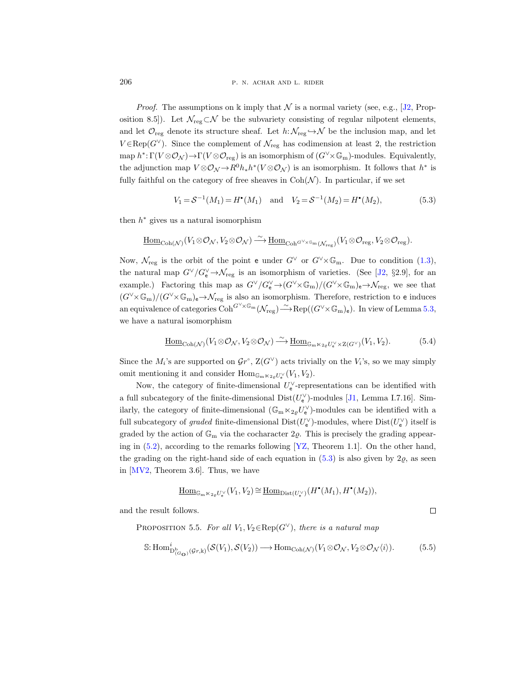206 **p. n. achar and l. rider** 

*Proof.* The assumptions on  $\Bbbk$  imply that  $\mathcal N$  is a normal variety (see, e.g., [\[J2,](#page-33-6) Proposition 8.5]). Let  $\mathcal{N}_{reg} \subset \mathcal{N}$  be the subvariety consisting of regular nilpotent elements, and let  $\mathcal{O}_{reg}$  denote its structure sheaf. Let  $h: \mathcal{N}_{reg} \hookrightarrow \mathcal{N}$  be the inclusion map, and let  $V \in \text{Rep}(G^{\vee})$ . Since the complement of  $\mathcal{N}_{reg}$  has codimension at least 2, the restriction map  $h^*: \Gamma(V \otimes \mathcal{O}_{\mathcal{N}}) \to \Gamma(V \otimes \mathcal{O}_{reg})$  is an isomorphism of  $(G^{\vee} \times \mathbb{G}_{m})$ -modules. Equivalently, the adjunction map  $V \otimes \mathcal{O}_{\mathcal{N}} \to R^0 h_* h^* (V \otimes \mathcal{O}_{\mathcal{N}})$  is an isomorphism. It follows that  $h^*$  is fully faithful on the category of free sheaves in  $\text{Coh}(\mathcal{N})$ . In particular, if we set

<span id="page-23-1"></span>
$$
V_1 = S^{-1}(M_1) = H^{\bullet}(M_1) \text{ and } V_2 = S^{-1}(M_2) = H^{\bullet}(M_2),
$$
 (5.3)

then  $h^*$  gives us a natural isomorphism

$$
\underline{\mathrm{Hom}}_{\mathrm{Coh}(\mathcal{N})}(V_1\otimes\mathcal{O}_{\mathcal{N}}, V_2\otimes\mathcal{O}_{\mathcal{N}})\xrightarrow{\,\sim\,}\underline{\mathrm{Hom}}_{\mathrm{Coh}^{G^\vee\times\mathbb{G}_{\mathrm{m}}}(V_1\otimes\mathcal{O}_{\mathrm{reg}}, V_2\otimes\mathcal{O}_{\mathrm{reg}}).
$$

Now,  $\mathcal{N}_{reg}$  is the orbit of the point e under  $G^{\vee}$  or  $G^{\vee}\times\mathbb{G}_{m}$ . Due to condition [\(1.3\)](#page-2-1), the natural map  $G^{\vee}/G_{e}^{\vee} \to \mathcal{N}_{reg}$  is an isomorphism of varieties. (See [\[J2,](#page-33-6) §2.9], for an example.) Factoring this map as  $G^{\vee}/G_{\mathsf{e}}^{\vee} \to (G^{\vee} \times \mathbb{G}_{\mathrm{m}})/(G^{\vee} \times \mathbb{G}_{\mathrm{m}})_{\mathsf{e}} \to \mathcal{N}_{\mathrm{reg}}$ , we see that  $(G^{\vee}\times\mathbb{G}_{\mathrm{m}})/(G^{\vee}\times\mathbb{G}_{\mathrm{m}})_{e}\rightarrow\mathcal{N}_{\mathrm{reg}}$  is also an isomorphism. Therefore, restriction to e induces an equivalence of categories  $\mathrm{Coh}^{G^\vee \times \mathbb{G}_{\mathrm{m}}}(\mathcal{N}_{\mathrm{reg}}) \overset{\sim}{\longrightarrow} \mathrm{Rep}((G^\vee \times \mathbb{G}_{\mathrm{m}})_{\mathsf{e}})$ . In view of Lemma [5.3,](#page-22-2) we have a natural isomorphism

<span id="page-23-0"></span>
$$
\underline{\text{Hom}}_{\text{Coh}(\mathcal{N})}(V_1 \otimes \mathcal{O}_{\mathcal{N}}, V_2 \otimes \mathcal{O}_{\mathcal{N}}) \xrightarrow{\sim} \underline{\text{Hom}}_{\mathbb{G}_{\text{m}} \ltimes_{2\varrho} U_{\mathbf{e}}^{\vee} \times \mathbf{Z}(G^{\vee})}(V_1, V_2). \tag{5.4}
$$

Since the  $M_i$ 's are supported on  $\mathcal{G}r^{\circ}$ ,  $\mathcal{Z}(G^{\vee})$  acts trivially on the  $V_i$ 's, so we may simply omit mentioning it and consider  $\text{Hom}_{\mathbb{G}_{\text{m}}\ltimes_{2\varrho}U_{\mathsf{e}}^{\vee}}(V_1, V_2)$ .

Now, the category of finite-dimensional  $U_{\mathsf{e}}^{\vee}$ -representations can be identified with a full subcategory of the finite-dimensional  $Dist(U_{e}^{\vee})$ -modules [\[J1,](#page-33-15) Lemma I.7.16]. Similarly, the category of finite-dimensional  $(\mathbb{G}_{\mathrm{m}} \ltimes_{2\varrho} U_{\mathsf{e}}^{\vee})$ -modules can be identified with a full subcategory of *graded* finite-dimensional  $Dist(U_e^{\vee})$ -modules, where  $Dist(U_e^{\vee})$  itself is graded by the action of  $\mathbb{G}_{m}$  via the cocharacter  $2\varrho$ . This is precisely the grading appearing in  $(5.2)$ , according to the remarks following  $[YZ,$  Theorem 1.1]. On the other hand, the grading on the right-hand side of each equation in  $(5.3)$  is also given by  $2\varrho$ , as seen in [\[MV2,](#page-33-0) Theorem 3.6]. Thus, we have

$$
\underline{\mathrm{Hom}}_{\mathbb{G}_{\mathrm{m}}\ltimes_{2\varrho}U_{\mathrm{e}}^{\vee}}(V_1,V_2)\cong \underline{\mathrm{Hom}}_{\mathrm{Dist}(U_{\mathrm{e}}^{\vee})}(H^{\bullet}(M_1),H^{\bullet}(M_2)),
$$

<span id="page-23-3"></span>and the result follows.

PROPOSITION 5.5. For all 
$$
V_1, V_2 \in \text{Rep}(G^{\vee})
$$
, there is a natural map

<span id="page-23-2"></span>
$$
\mathbb{S}:\text{Hom}_{\text{D}_{(G_{\mathbf{O}})}^{\hat{\mathbf{U}}}(G_{\mathbf{C}},\mathbb{K})}^{\hat{\mathbf{U}}}(S(V_1),S(V_2))\longrightarrow\text{Hom}_{\text{Coh}(\mathcal{N})}(V_1\otimes\mathcal{O}_{\mathcal{N}},V_2\otimes\mathcal{O}_{\mathcal{N}}\langle i\rangle). \tag{5.5}
$$

 $\Box$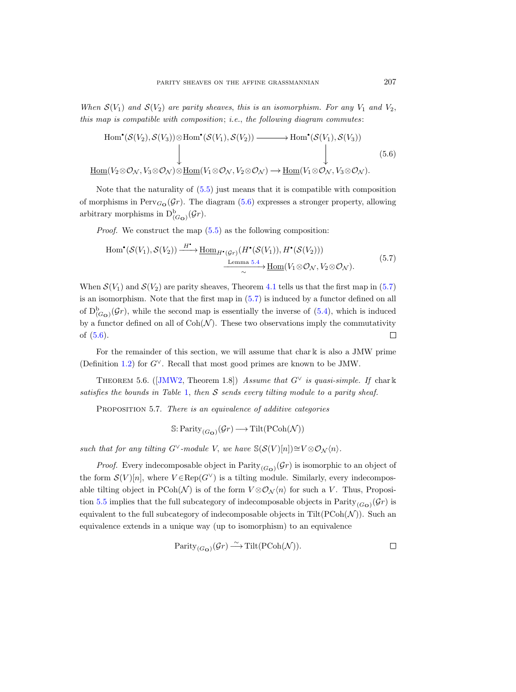When  $\mathcal{S}(V_1)$  and  $\mathcal{S}(V_2)$  are parity sheaves, this is an isomorphism. For any  $V_1$  and  $V_2$ , this map is compatible with composition; i.e., the following diagram commutes:

<span id="page-24-0"></span>
$$
\text{Hom}^{\bullet}(\mathcal{S}(V_2), \mathcal{S}(V_3)) \otimes \text{Hom}^{\bullet}(\mathcal{S}(V_1), \mathcal{S}(V_2)) \longrightarrow \text{Hom}^{\bullet}(\mathcal{S}(V_1), \mathcal{S}(V_3))
$$
\n
$$
\downarrow \qquad \qquad \downarrow \qquad \qquad \downarrow \qquad (5.6)
$$
\n
$$
\underline{\text{Hom}}(V_2 \otimes \mathcal{O}_\mathcal{N}, V_3 \otimes \mathcal{O}_\mathcal{N}) \otimes \underline{\text{Hom}}(V_1 \otimes \mathcal{O}_\mathcal{N}, V_2 \otimes \mathcal{O}_\mathcal{N}) \longrightarrow \underline{\text{Hom}}(V_1 \otimes \mathcal{O}_\mathcal{N}, V_3 \otimes \mathcal{O}_\mathcal{N}).
$$
\n(5.6)

Note that the naturality of [\(5.5\)](#page-23-2) just means that it is compatible with composition of morphisms in  $Perv_{G_{\mathbf{O}}}(\mathcal{G}r)$ . The diagram [\(5.6\)](#page-24-0) expresses a stronger property, allowing arbitrary morphisms in  $D^b_{(G_O)}(\mathcal{G}_r)$ .

Proof. We construct the map [\(5.5\)](#page-23-2) as the following composition:

<span id="page-24-1"></span>
$$
\text{Hom}^{\bullet}(\mathcal{S}(V_1), \mathcal{S}(V_2)) \xrightarrow{H^{\bullet}} \underline{\text{Hom}}_{H^{\bullet}(\mathcal{G}r)}(H^{\bullet}(\mathcal{S}(V_1)), H^{\bullet}(\mathcal{S}(V_2)))
$$
\n
$$
\xrightarrow[\sim]{\text{Lemma 5.4}} \underline{\text{Hom}}(V_1 \otimes \mathcal{O}_N, V_2 \otimes \mathcal{O}_N).
$$
\n
$$
(5.7)
$$

When  $\mathcal{S}(V_1)$  and  $\mathcal{S}(V_2)$  are parity sheaves, Theorem [4.1](#page-15-1) tells us that the first map in [\(5.7\)](#page-24-1) is an isomorphism. Note that the first map in [\(5.7\)](#page-24-1) is induced by a functor defined on all of  $D^b_{(G_O)}(\mathcal{G}_r)$ , while the second map is essentially the inverse of  $(5.4)$ , which is induced by a functor defined on all of  $Coh(\mathcal{N})$ . These two observations imply the commutativity of [\(5.6\)](#page-24-0).  $\Box$ 

For the remainder of this section, we will assume that char k is also a JMW prime (Definition [1.2\)](#page-1-3) for  $G^{\vee}$ . Recall that most good primes are known to be JMW.

THEOREM5.6. ([\[JMW2,](#page-33-5) Theorem 1.8]) Assume that  $G^{\vee}$  is quasi-simple. If char k satisfies the bounds in Table [1,](#page-1-1) then  $S$  sends every tilting module to a parity sheaf.

<span id="page-24-2"></span>PROPOSITION 5.7. There is an equivalence of additive categories

$$
\mathbb{S}\text{: Parity}_{(G_{\mathbf{O}})}(\mathcal{G}r)\longrightarrow\text{Tilt}(\text{PCoh}(\mathcal{N}))
$$

such that for any tilting G∨-module V, we have  $\mathbb{S}(\mathcal{S}(V)[n])\cong V\otimes\mathcal{O}_{\mathcal{N}}\langle n\rangle$ .

*Proof.* Every indecomposable object in  $\text{Parity}_{(G_{\mathbf{O}})}(\mathcal{G}_r)$  is isomorphic to an object of the form  $\mathcal{S}(V)[n]$ , where  $V \in \text{Rep}(G^{\vee})$  is a tilting module. Similarly, every indecomposable tilting object in PCoh(N) is of the form  $V \otimes \mathcal{O}_{\mathcal{N}}(n)$  for such a V. Thus, Proposi-tion [5.5](#page-23-3) implies that the full subcategory of indecomposable objects in  $\text{Parity}_{(G_{\mathbf{O}})}(\mathcal{G}_r)$  is equivalent to the full subcategory of indecomposable objects in  $Tilt(PCoh(\mathcal{N}))$ . Such an equivalence extends in a unique way (up to isomorphism) to an equivalence

$$
\mathrm{Parity}_{(G_{\mathbf{O}})}(\mathcal{G}r) \xrightarrow{\sim} \mathrm{Tilt}(\mathrm{PCoh}(\mathcal{N})).
$$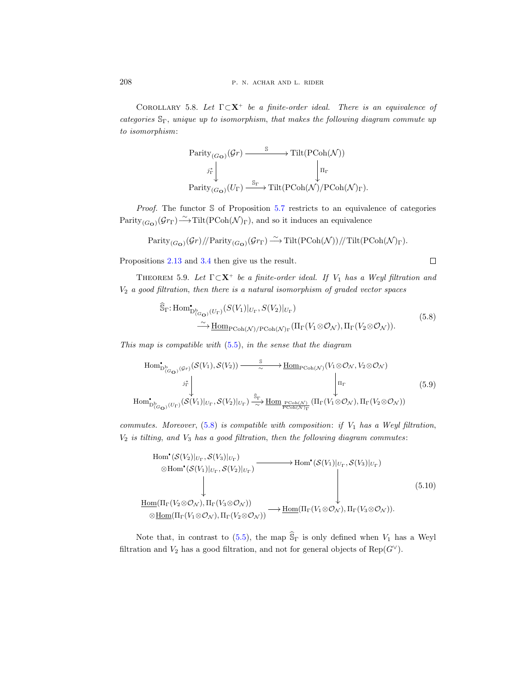<span id="page-25-2"></span>COROLLARY 5.8. Let  $\Gamma \subset \mathbf{X}^+$  be a finite-order ideal. There is an equivalence of categories  $\mathcal{S}_{\Gamma}$ , unique up to isomorphism, that makes the following diagram commute up to isomorphism:

$$
\begin{array}{ccc}\n\text{Parity}_{(G_{\mathbf{O}})}(\mathcal{G}r) & \xrightarrow{\quad \mathbb{S}} & \text{Tilt}(\text{PCoh}(\mathcal{N})) \\
& \downarrow^{j_{\Gamma}^*} & & \downarrow^{\quad \mathbb{I}_{\Gamma}} \\
\text{Parity}_{(G_{\mathbf{O}})}(U_{\Gamma}) & \xrightarrow{\quad \mathbb{S}_{\Gamma}} & \text{Tilt}(\text{PCoh}(\mathcal{N})/\text{PCoh}(\mathcal{N})_{\Gamma}).\n\end{array}
$$

*Proof.* The functor  $\delta$  of Proposition [5.7](#page-24-2) restricts to an equivalence of categories  $Parity_{(G_{\mathbf{O}})}(\mathcal{G}r_{\Gamma}) \longrightarrow \text{Tilt}(\text{PCoh}(\mathcal{N})_{\Gamma})$ , and so it induces an equivalence

$$
\mathrm{Parity}_{(G_{\mathbf{O}})}(\mathcal{G}r)/\!/\mathrm{Parity}_{(G_{\mathbf{O}})}(\mathcal{G}r_{\Gamma}) \stackrel{\sim}{\longrightarrow} \mathrm{Tilt}(\mathrm{PCoh}(\mathcal{N}))/\!/\mathrm{Tilt}(\mathrm{PCoh}(\mathcal{N})_{\Gamma}).
$$

Propositions [2.13](#page-8-3) and [3.4](#page-14-2) then give us the result.

<span id="page-25-1"></span>THEOREM 5.9. Let  $\Gamma \subset \mathbf{X}^+$  be a finite-order ideal. If  $V_1$  has a Weyl filtration and  $V_2$  a good filtration, then there is a natural isomorphism of graded vector spaces

$$
\begin{split} \widehat{\mathbb{S}}_{\Gamma} &:\text{Hom}^{\bullet}_{\mathbf{D}^{\mathbf{b}}_{(\mathbf{G}_{\mathbf{O}})}(U_{\Gamma})}(S(V_{1})|_{U_{\Gamma}}, S(V_{2})|_{U_{\Gamma}}) \\ &\stackrel{\sim}{\longrightarrow} \underline{\text{Hom}}_{\text{PCoh}(\mathcal{N})/ \text{PCoh}(\mathcal{N})_{\Gamma}}(\Pi_{\Gamma}(V_{1} \otimes \mathcal{O}_{\mathcal{N}}), \Pi_{\Gamma}(V_{2} \otimes \mathcal{O}_{\mathcal{N}})). \end{split} \tag{5.8}
$$

<span id="page-25-0"></span>This map is compatible with  $(5.5)$ , in the sense that the diagram

<span id="page-25-3"></span>
$$
\text{Hom}_{\mathcal{D}^{\mathfrak{b}}_{(G_{\mathbf{O}})}(\mathcal{G}_{r})}^{\mathfrak{b}}(\mathcal{S}(V_{1}),\mathcal{S}(V_{2})) \longrightarrow \frac{\mathfrak{s}}{\sim} \text{Hom}_{\text{PCoh}(\mathcal{N})}(V_{1}\otimes\mathcal{O}_{\mathcal{N}},V_{2}\otimes\mathcal{O}_{\mathcal{N}})
$$
\n
$$
\downarrow \qquad \qquad \downarrow \qquad \qquad \downarrow \qquad \qquad \downarrow \qquad \qquad \downarrow \qquad \qquad \downarrow \qquad \qquad \downarrow \qquad \qquad \downarrow \qquad \qquad \downarrow \qquad \qquad \downarrow \qquad \qquad \downarrow \qquad \qquad \downarrow \qquad \qquad \downarrow \qquad \qquad \downarrow \qquad \qquad \downarrow \qquad \qquad \downarrow \qquad \qquad \downarrow \qquad \qquad \downarrow \qquad \qquad \downarrow \qquad \qquad \downarrow \qquad \qquad \downarrow \qquad \qquad \downarrow \qquad \qquad \downarrow \qquad \qquad \downarrow \qquad \qquad \downarrow \qquad \qquad \downarrow \qquad \qquad \downarrow \qquad \qquad \downarrow \qquad \qquad \downarrow \qquad \qquad \downarrow \qquad \qquad \downarrow \qquad \qquad \downarrow \qquad \qquad \downarrow \qquad \qquad \downarrow \qquad \qquad \downarrow \qquad \qquad \downarrow \qquad \qquad \downarrow \qquad \qquad \downarrow \qquad \qquad \downarrow \qquad \qquad \downarrow \qquad \qquad \downarrow \qquad \qquad \downarrow \qquad \qquad \downarrow \qquad \qquad \downarrow \qquad \qquad \downarrow \qquad \qquad \downarrow \qquad \qquad \downarrow \qquad \qquad \downarrow \qquad \qquad \downarrow \qquad \qquad \downarrow \qquad \qquad \downarrow \qquad \qquad \downarrow \qquad \qquad \downarrow \qquad \qquad \downarrow \qquad \qquad \downarrow \qquad \qquad \downarrow \qquad \qquad \downarrow \qquad \qquad \downarrow \qquad \qquad \downarrow \qquad \qquad \downarrow \qquad \qquad \downarrow \qquad \qquad \downarrow \qquad \qquad \downarrow \qquad \qquad \downarrow \qquad \qquad \downarrow \qquad \qquad \downarrow \qquad \qquad \downarrow \qquad \qquad \downarrow \qquad \qquad \downarrow \q
$$

commutes. Moreover,  $(5.8)$  is compatible with composition: if  $V_1$  has a Weyl filtration,  $V_2$  is tilting, and  $V_3$  has a good filtration, then the following diagram commutes:

<span id="page-25-4"></span>Hom (S(V2)|<sup>U</sup><sup>Γ</sup> , S(V3)|<sup>U</sup><sup>Γ</sup> ) <sup>⊗</sup>Hom (S(V1)|<sup>U</sup><sup>Γ</sup> , S(V2)|<sup>U</sup><sup>Γ</sup> ) / Hom (S(V1)|<sup>U</sup><sup>Γ</sup> , S(V3)|<sup>U</sup><sup>Γ</sup> ) Hom (ΠΓ(V2⊗O<sup>N</sup> ), ΠΓ(V3⊗O<sup>N</sup> )) ⊗Hom(ΠΓ(V1⊗O<sup>N</sup> ), ΠΓ(V2⊗O<sup>N</sup> )) /Hom(ΠΓ(V1⊗O<sup>N</sup> ), ΠΓ(V3⊗O<sup>N</sup> )). (5.10)

Note that, in contrast to [\(5.5\)](#page-23-2), the map  $\hat{S}_{\Gamma}$  is only defined when  $V_1$  has a Weyl filtration and  $V_2$  has a good filtration, and not for general objects of  $\text{Rep}(G^{\vee})$ .

$$
\Box
$$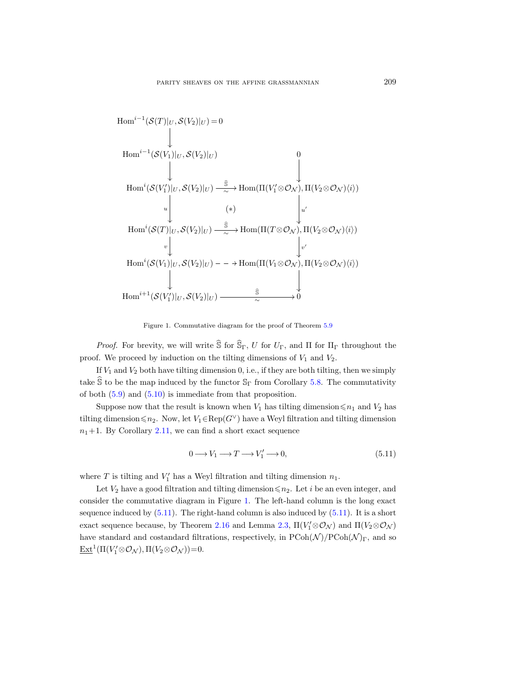

Figure 1. Commutative diagram for the proof of Theorem [5.9](#page-25-1)

*Proof.* For brevity, we will write  $\widehat{S}$  for  $\widehat{S}_{\Gamma}$ , U for  $U_{\Gamma}$ , and  $\Pi$  for  $\Pi_{\Gamma}$  throughout the proof. We proceed by induction on the tilting dimensions of  $V_1$  and  $V_2$ .

If  $V_1$  and  $V_2$  both have tilting dimension 0, i.e., if they are both tilting, then we simply take  $\hat{S}$  to be the map induced by the functor  $S_{\Gamma}$  from Corollary [5.8.](#page-25-2) The commutativity of both [\(5.9\)](#page-25-3) and [\(5.10\)](#page-25-4) is immediate from that proposition.

Suppose now that the result is known when  $V_1$  has tilting dimension  $\leq n_1$  and  $V_2$  has tilting dimension  $\leq n_2$ . Now, let  $V_1 \in \text{Rep}(G^{\vee})$  have a Weyl filtration and tilting dimension  $n_1+1$ . By Corollary [2.11,](#page-7-1) we can find a short exact sequence

<span id="page-26-0"></span>
$$
0 \longrightarrow V_1 \longrightarrow T \longrightarrow V_1' \longrightarrow 0,
$$
\n
$$
(5.11)
$$

where  $T$  is tilting and  $V'_1$  has a Weyl filtration and tilting dimension  $n_1$ .

Let  $V_2$  have a good filtration and tilting dimension  $\leq n_2$ . Let i be an even integer, and consider the commutative diagram in Figure [1.](#page-1-1) The left-hand column is the long exact sequence induced by  $(5.11)$ . The right-hand column is also induced by  $(5.11)$ . It is a short exact sequence because, by Theorem [2.16](#page-10-1) and Lemma [2.3,](#page-5-2)  $\Pi(V_1' \otimes \mathcal{O}_N)$  and  $\Pi(V_2 \otimes \mathcal{O}_N)$ have standard and costandard filtrations, respectively, in  $P\text{Coh}(\mathcal{N})/P\text{Coh}(\mathcal{N})_\Gamma$ , and so  $\underline{\mathrm{Ext}}^1(\Pi(V'_1 \otimes \mathcal{O}_{\mathcal{N}}), \Pi(V_2 \otimes \mathcal{O}_{\mathcal{N}})) = 0.$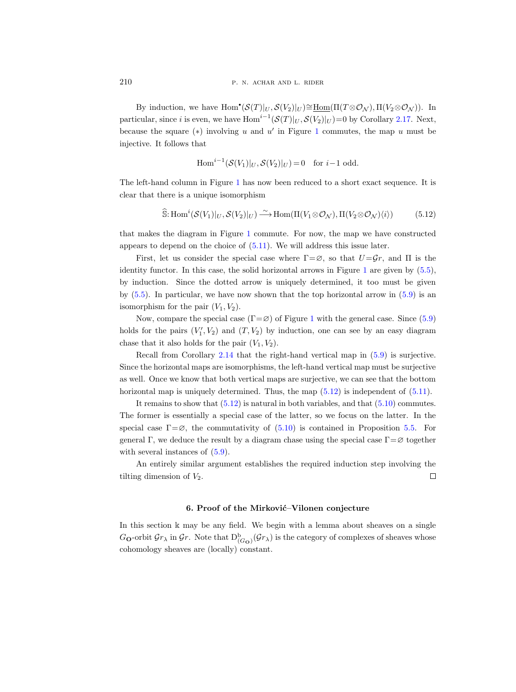By induction, we have  $\text{Hom}^{\bullet}(\mathcal{S}(T)|_U, \mathcal{S}(V_2)|_U) \cong \underline{\text{Hom}}(\Pi(T \otimes \mathcal{O}_{\mathcal{N}}), \Pi(V_2 \otimes \mathcal{O}_{\mathcal{N}})).$  In particular, since *i* is even, we have  $\text{Hom}^{i-1}(\mathcal{S}(T)|_U, \mathcal{S}(V_2)|_U) = 0$  by Corollary [2.17.](#page-13-1) Next, because the square  $(*)$  involving u and u' in Figure [1](#page-1-1) commutes, the map u must be injective. It follows that

$$
\text{Hom}^{i-1}(\mathcal{S}(V_1)|_U, \mathcal{S}(V_2)|_U) = 0 \quad \text{for } i-1 \text{ odd.}
$$

The left-hand column in Figure [1](#page-1-1) has now been reduced to a short exact sequence. It is clear that there is a unique isomorphism

<span id="page-27-1"></span>
$$
\widehat{\mathbb{S}}: \text{Hom}^i(\mathcal{S}(V_1)|_U, \mathcal{S}(V_2)|_U) \xrightarrow{\sim} \text{Hom}(\Pi(V_1 \otimes \mathcal{O}_\mathcal{N}), \Pi(V_2 \otimes \mathcal{O}_\mathcal{N})\langle i\rangle) \tag{5.12}
$$

that makes the diagram in Figure [1](#page-1-1) commute. For now, the map we have constructed appears to depend on the choice of [\(5.11\)](#page-26-0). We will address this issue later.

First, let us consider the special case where  $\Gamma = \emptyset$ , so that  $U = \mathcal{G}r$ , and  $\Pi$  is the identity functor. In this case, the solid horizontal arrows in Figure [1](#page-1-1) are given by [\(5.5\)](#page-23-2), by induction. Since the dotted arrow is uniquely determined, it too must be given by  $(5.5)$ . In particular, we have now shown that the top horizontal arrow in  $(5.9)$  is an isomorphism for the pair  $(V_1, V_2)$ .

Now, compare the special case ( $\Gamma = \emptyset$ ) of Figure [1](#page-1-1) with the general case. Since [\(5.9\)](#page-25-3) holds for the pairs  $(V_1', V_2)$  and  $(T, V_2)$  by induction, one can see by an easy diagram chase that it also holds for the pair  $(V_1, V_2)$ .

Recall from Corollary [2.14](#page-9-1) that the right-hand vertical map in [\(5.9\)](#page-25-3) is surjective. Since the horizontal maps are isomorphisms, the left-hand vertical map must be surjective as well. Once we know that both vertical maps are surjective, we can see that the bottom horizontal map is uniquely determined. Thus, the map  $(5.12)$  is independent of  $(5.11)$ .

It remains to show that  $(5.12)$  is natural in both variables, and that  $(5.10)$  commutes. The former is essentially a special case of the latter, so we focus on the latter. In the special case  $\Gamma = \emptyset$ , the commutativity of [\(5.10\)](#page-25-4) is contained in Proposition [5.5.](#page-23-3) For general Γ, we deduce the result by a diagram chase using the special case  $\Gamma = \varnothing$  together with several instances of  $(5.9)$ .

An entirely similar argument establishes the required induction step involving the tilting dimension of  $V_2$ .  $\Box$ 

#### 6. Proof of the Mirković–Vilonen conjecture

<span id="page-27-0"></span>In this section  $\mathbbk$  may be any field. We begin with a lemma about sheaves on a single  $G_{\mathbf{O}}$ -orbit  $\mathcal{G}r_{\lambda}$  in  $\mathcal{G}r$ . Note that  $D^{\mathrm{b}}_{(G_{\mathbf{O}})}(\mathcal{G}r_{\lambda})$  is the category of complexes of sheaves whose cohomology sheaves are (locally) constant.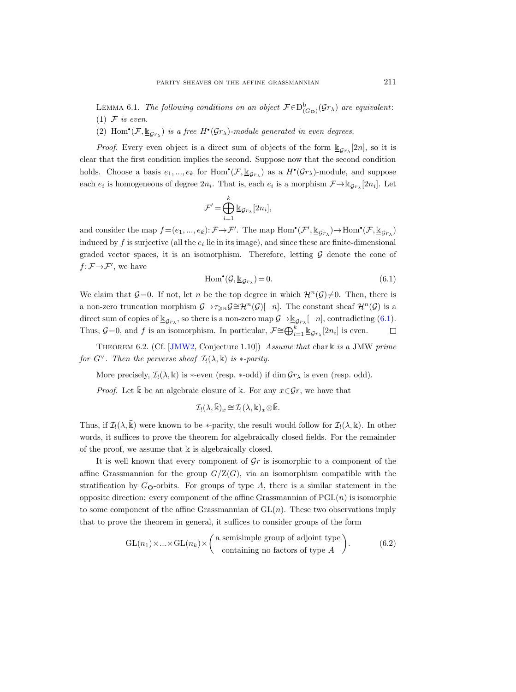<span id="page-28-1"></span>LEMMA 6.1. The following conditions on an object  $\mathcal{F} \in D^b_{(G_O)}(\mathcal{G}r_{\lambda})$  are equivalent: (1)  $F$  is even.

(2) Hom<sup>•</sup>( $\mathcal{F}, \underline{\mathbb{K}}_{Gr_\lambda}$ ) is a free  $H^{\bullet}(\mathcal{G}r_\lambda)$ -module generated in even degrees.

*Proof.* Every even object is a direct sum of objects of the form  $\mathbb{E}_{\mathcal{G}_{r_{\lambda}}}[2n]$ , so it is clear that the first condition implies the second. Suppose now that the second condition holds. Choose a basis  $e_1, ..., e_k$  for  $Hom^{\bullet}(\mathcal{F}, \underline{\mathbb{K}}_{\mathcal{G}r_{\lambda}})$  as a  $H^{\bullet}(\mathcal{G}r_{\lambda})$ -module, and suppose each  $e_i$  is homogeneous of degree  $2n_i$ . That is, each  $e_i$  is a morphism  $\mathcal{F} \rightarrow \underline{\mathbb{K}}_{\mathcal{G}r_{\lambda}}[2n_i]$ . Let

$$
\mathcal{F}' = \bigoplus_{i=1}^k \mathbb{E}_{\mathcal{G}_{r_\lambda}}[2n_i],
$$

and consider the map  $f = (e_1, ..., e_k): \mathcal{F} \to \mathcal{F}'$ . The map  $\text{Hom}^{\bullet}(\mathcal{F}', \underline{\mathbb{K}}_{\mathcal{G}r_{\lambda}}) \to \text{Hom}^{\bullet}(\mathcal{F}, \underline{\mathbb{K}}_{\mathcal{G}r_{\lambda}})$ induced by  $f$  is surjective (all the  $e_i$  lie in its image), and since these are finite-dimensional graded vector spaces, it is an isomorphism. Therefore, letting  $G$  denote the cone of  $f: \mathcal{F} \rightarrow \mathcal{F}'$ , we have

<span id="page-28-0"></span>
$$
\operatorname{Hom}^{\bullet}(\mathcal{G}, \underline{\mathbb{k}}_{\mathcal{G}r_{\lambda}}) = 0. \tag{6.1}
$$

We claim that  $\mathcal{G}=0$ . If not, let n be the top degree in which  $\mathcal{H}^n(\mathcal{G})\neq 0$ . Then, there is a non-zero truncation morphism  $\mathcal{G}\to\tau_{\geq n}\mathcal{G}\cong\mathcal{H}^n(\mathcal{G})[-n]$ . The constant sheaf  $\mathcal{H}^n(\mathcal{G})$  is a direct sum of copies of  $\underline{\mathbb{K}}_{\mathcal{G}r_{\lambda}}$ , so there is a non-zero map  $\mathcal{G} \rightarrow \underline{\mathbb{K}}_{\mathcal{G}r_{\lambda}}[-n]$ , contradicting  $(6.1)$ . Thus,  $\mathcal{G}=0$ , and f is an isomorphism. In particular,  $\mathcal{F} \cong \bigoplus_{i=1}^k \underline{\mathbb{K}}_{\mathcal{G}r_\lambda}[2n_i]$  is even.  $\Box$ 

<span id="page-28-2"></span>THEOREM 6.2. (Cf. [\[JMW2,](#page-33-5) Conjecture 1.10]) Assume that char k is a JMW prime for  $G^{\vee}$ . Then the perverse sheaf  $\mathcal{I}(\lambda, \mathbb{k})$  is  $\ast$ -parity.

More precisely,  $\mathcal{I}(\lambda, \mathbb{k})$  is \*-even (resp. \*-odd) if dim  $\mathcal{G}r_{\lambda}$  is even (resp. odd).

*Proof.* Let k be an algebraic closure of k. For any  $x \in \mathcal{G}_r$ , we have that

$$
\mathcal{I}_!(\lambda,\bar{\Bbbk})_x \cong \mathcal{I}_!(\lambda,\Bbbk)_x \otimes \bar{\Bbbk}.
$$

Thus, if  $\mathcal{I}(\lambda, \mathbb{k})$  were known to be \*-parity, the result would follow for  $\mathcal{I}(\lambda, \mathbb{k})$ . In other words, it suffices to prove the theorem for algebraically closed fields. For the remainder of the proof, we assume that  $\Bbbk$  is algebraically closed.

It is well known that every component of  $\mathcal{G}r$  is isomorphic to a component of the affine Grassmannian for the group  $G/Z(G)$ , via an isomorphism compatible with the stratification by  $G_{\mathbf{O}}$ -orbits. For groups of type  $A$ , there is a similar statement in the opposite direction: every component of the affine Grassmannian of  $PGL(n)$  is isomorphic to some component of the affine Grassmannian of  $GL(n)$ . These two observations imply that to prove the theorem in general, it suffices to consider groups of the form

$$
GL(n_1) \times ... \times GL(n_k) \times \begin{pmatrix} a \text{ semisimple group of adjoint type} \\ \text{containing no factors of type } A \end{pmatrix}.
$$
 (6.2)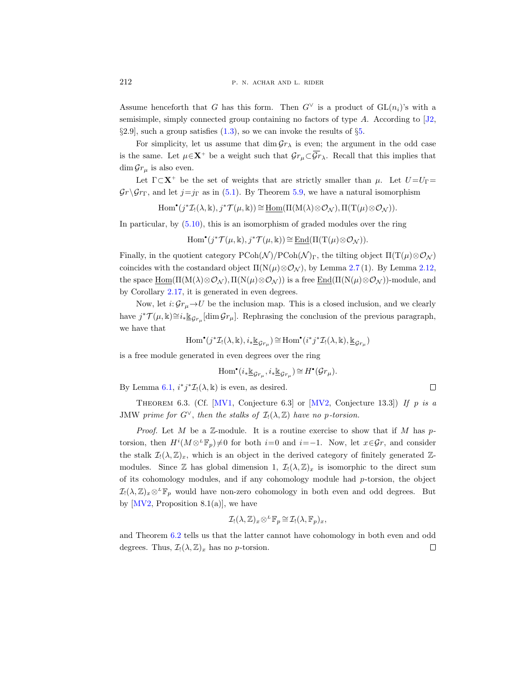Assume henceforth that G has this form. Then  $G^{\vee}$  is a product of  $GL(n_i)$ 's with a semisimple, simply connected group containing no factors of type  $A$ . According to [\[J2,](#page-33-6)  $\S 2.9$ , such a group satisfies  $(1.3)$ , so we can invoke the results of  $\S 5$ .

For simplicity, let us assume that  $\dim \mathcal{G}r_{\lambda}$  is even; the argument in the odd case is the same. Let  $\mu \in \mathbf{X}^+$  be a weight such that  $\mathcal{G}r_{\mu} \subset \overline{\mathcal{G}r}_{\lambda}$ . Recall that this implies that  $\dim \mathcal{G}r_{\mu}$  is also even.

Let  $\Gamma \subset \mathbf{X}^+$  be the set of weights that are strictly smaller than  $\mu$ . Let  $U = U_{\Gamma} =$  $\mathcal{G}_r \backslash \mathcal{G}_{r}$ , and let  $j=j_{\Gamma}$  as in [\(5.1\)](#page-21-2). By Theorem [5.9,](#page-25-1) we have a natural isomorphism

$$
\mathrm{Hom}^{\bullet}(j^*\mathcal{I}_!(\lambda,\Bbbk),j^*\mathcal{T}(\mu,\Bbbk))\cong \underline{\mathrm{Hom}}(\Pi(M(\lambda)\otimes\mathcal{O}_{\mathcal{N}}),\Pi(T(\mu)\otimes\mathcal{O}_{\mathcal{N}})).
$$

In particular, by [\(5.10\)](#page-25-4), this is an isomorphism of graded modules over the ring

$$
\mathrm{Hom}^{\bullet}(j^{\ast}\mathcal{T}(\mu,\Bbbk),j^{\ast}\mathcal{T}(\mu,\Bbbk))\cong \underline{\mathrm{End}}(\Pi(\mathrm{T}(\mu)\otimes\mathcal{O}_{\mathcal{N}})).
$$

Finally, in the quotient category  $P\text{Coh}(\mathcal{N})/P\text{Coh}(\mathcal{N})_\Gamma$ , the tilting object  $\Pi(T(\mu)\otimes \mathcal{O}_{\mathcal{N}})$ coincides with the costandard object  $\Pi(N(\mu) \otimes \mathcal{O}_N)$ , by Lemma [2.7](#page-6-1) (1). By Lemma [2.12,](#page-8-0) the space  $\underline{\text{Hom}}(\Pi(M(\lambda)\otimes\mathcal{O}_{\mathcal{N}}), \Pi(N(\mu)\otimes\mathcal{O}_{\mathcal{N}}))$  is a free  $\underline{\text{End}}(\Pi(N(\mu)\otimes\mathcal{O}_{\mathcal{N}}))$ -module, and by Corollary [2.17,](#page-13-1) it is generated in even degrees.

Now, let  $i: \mathcal{G}r_{\mu} \to U$  be the inclusion map. This is a closed inclusion, and we clearly have  $j^*\mathcal{T}(\mu,\Bbbk) \cong i_*\underline{\Bbbk}_{\mathcal{G}_{r_\mu}}[\dim \mathcal{G}_{r_\mu}]$ . Rephrasing the conclusion of the previous paragraph, we have that

$$
\mathrm{Hom}^{\bullet}(j^*\mathcal{I}_!(\lambda,\Bbbk),i_*\underline{\Bbbk}_{\mathcal{G}r_{\mu}}) \cong \mathrm{Hom}^{\bullet}(i^*j^*\mathcal{I}_!(\lambda,\Bbbk),\underline{\Bbbk}_{\mathcal{G}r_{\mu}})
$$

is a free module generated in even degrees over the ring

$$
\mathrm{Hom}^\bullet(i_*\underline{\Bbbk}_{\mathcal{G}r_\mu}, i_*\underline{\Bbbk}_{\mathcal{G}r_\mu})\cong H^\bullet(\mathcal{G}r_\mu).
$$

 $\Box$ 

By Lemma [6.1,](#page-28-1)  $i^*j^*\mathcal{I}_!(\lambda,\Bbbk)$  is even, as desired.

THEOREM 6.3. (Cf. [\[MV1,](#page-33-2) Conjecture 6.3] or [\[MV2,](#page-33-0) Conjecture 13.3]) If p is a JMW prime for  $G^{\vee}$ , then the stalks of  $\mathcal{I}(\lambda,\mathbb{Z})$  have no p-torsion.

*Proof.* Let M be a  $\mathbb{Z}$ -module. It is a routine exercise to show that if M has ptorsion, then  $H^{i}(M\otimes^L \mathbb{F}_p)\neq 0$  for both  $i=0$  and  $i=-1$ . Now, let  $x\in\mathcal{G}r$ , and consider the stalk  $\mathcal{I}(\lambda, \mathbb{Z})_x$ , which is an object in the derived category of finitely generated  $\mathbb{Z}$ modules. Since Z has global dimension 1,  $\mathcal{I}(\lambda, \mathbb{Z})_x$  is isomorphic to the direct sum of its cohomology modules, and if any cohomology module had  $p$ -torsion, the object  $\mathcal{I}(\lambda,\mathbb{Z})_x\otimes^L \mathbb{F}_p$  would have non-zero cohomology in both even and odd degrees. But by  $[MV2,$  Proposition 8.1(a)], we have

$$
\mathcal{I}_!(\lambda,\mathbb{Z})_x\otimes^L \mathbb{F}_p\cong \mathcal{I}_!(\lambda,\mathbb{F}_p)_x,
$$

and Theorem [6.2](#page-28-2) tells us that the latter cannot have cohomology in both even and odd degrees. Thus,  $\mathcal{I}(\lambda, \mathbb{Z})_x$  has no p-torsion.  $\Box$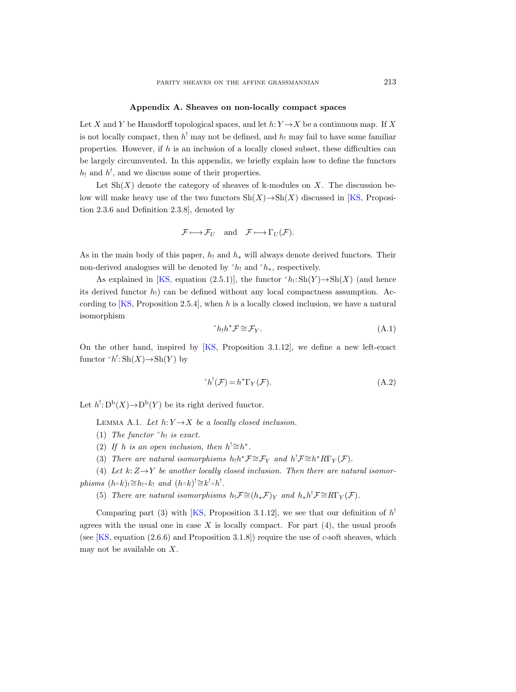#### Appendix A. Sheaves on non-locally compact spaces

<span id="page-30-0"></span>Let X and Y be Hausdorff topological spaces, and let  $h: Y \to X$  be a continuous map. If X is not locally compact, then  $h^!$  may not be defined, and  $h_!$  may fail to have some familiar properties. However, if h is an inclusion of a locally closed subset, these difficulties can be largely circumvented. In this appendix, we briefly explain how to define the functors  $h_1$  and  $h_2$ , and we discuss some of their properties.

Let  $\mathrm{Sh}(X)$  denote the category of sheaves of k-modules on X. The discussion below will make heavy use of the two functors  $\text{Sh}(X) \rightarrow \text{Sh}(X)$  discussed in [\[KS,](#page-33-13) Proposition 2.3.6 and Definition 2.3.8], denoted by

$$
\mathcal{F} \longmapsto \mathcal{F}_U \quad \text{and} \quad \mathcal{F} \longmapsto \Gamma_U(\mathcal{F}).
$$

As in the main body of this paper,  $h_1$  and  $h_*$  will always denote derived functors. Their non-derived analogues will be denoted by  $\hat{h}_1$  and  $\hat{h}_*$ , respectively.

As explained in [\[KS,](#page-33-13) equation (2.5.1)], the functor  $\hat{h}$ : Sh(Y)  $\rightarrow$  Sh(X) (and hence its derived functor  $h_1$  can be defined without any local compactness assumption. According to [\[KS,](#page-33-13) Proposition 2.5.4], when h is a locally closed inclusion, we have a natural isomorphism

<span id="page-30-1"></span>
$$
{}^{\circ}h_!h^*\mathcal{F} \cong \mathcal{F}_Y. \tag{A.1}
$$

On the other hand, inspired by [\[KS,](#page-33-13) Proposition 3.1.12], we define a new left-exact functor  $\hat{h}$ <sup>1</sup>: Sh(X)  $\rightarrow$  Sh(Y) by

<span id="page-30-2"></span>
$$
h^!(\mathcal{F}) = h^* \Gamma_Y(\mathcal{F}). \tag{A.2}
$$

<span id="page-30-3"></span>Let  $h^! \text{: } D^{\text{b}}(X) \to D^{\text{b}}(Y)$  be its right derived functor.

LEMMA A.1. Let  $h: Y \rightarrow X$  be a locally closed inclusion.

- (1) The functor  $h_!$  is exact.
- (2) If h is an open inclusion, then  $h' \cong h^*$ .
- (3) There are natural isomorphisms  $h_!h^* \mathcal{F} \cong \mathcal{F}_Y$  and  $h^! \mathcal{F} \cong h^* R \Gamma_Y(\mathcal{F})$ .

(4) Let  $k: Z \rightarrow Y$  be another locally closed inclusion. Then there are natural isomor $phisms (h \circ k) \cong h_! \circ k_! \text{ and } (h \circ k)^! \cong k^! \circ h^!$ .

(5) There are natural isomorphisms  $h_!\mathcal{F} \cong (h_*\mathcal{F})_Y$  and  $h_*h^!\mathcal{F} \cong R\Gamma_Y(\mathcal{F})$ .

Comparing part (3) with [\[KS,](#page-33-13) Proposition 3.1.12], we see that our definition of  $h^!$ agrees with the usual one in case  $X$  is locally compact. For part  $(4)$ , the usual proofs (see  $[KS, equation (2.6.6) and Proposition 3.1.8]$ ) require the use of c-soft sheaves, which may not be available on  $X$ .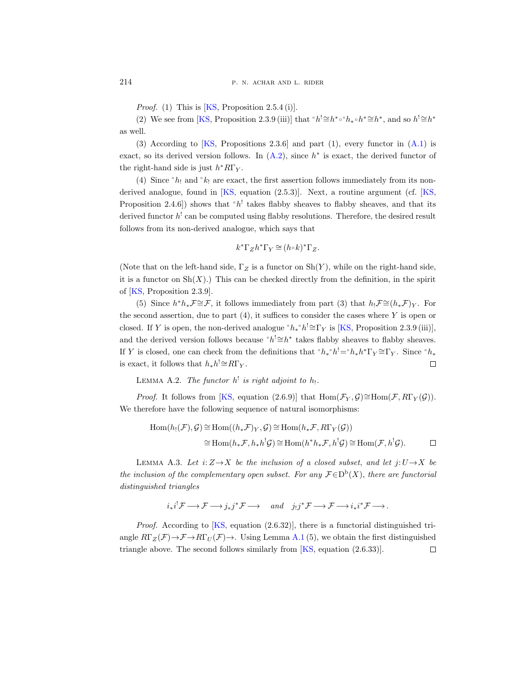*Proof.* (1) This is  $[KS, Proposition 2.5.4 (i)].$ 

(2) We see from [\[KS,](#page-33-13) Proposition 2.3.9 (iii)] that  $\partial h^! \cong h^* \circ h_* \circ h^* \cong h^*$ , and so  $h^! \cong h^*$ as well.

(3) According to  $[KS, Propositions 2.3.6]$  and part (1), every functor in  $(A.1)$  is exact, so its derived version follows. In  $(A.2)$ , since  $h^*$  is exact, the derived functor of the right-hand side is just  $h^*R\Gamma_Y$ .

(4) Since  $h_1$  and  $k_1$  are exact, the first assertion follows immediately from its nonderived analogue, found in [\[KS,](#page-33-13) equation (2.5.3)]. Next, a routine argument (cf. [\[KS,](#page-33-13) Proposition 2.4.6]) shows that  $h'$  takes flabby sheaves to flabby sheaves, and that its derived functor  $h^!$  can be computed using flabby resolutions. Therefore, the desired result follows from its non-derived analogue, which says that

$$
k^*\Gamma_Z h^*\Gamma_Y \cong (h \circ k)^*\Gamma_Z.
$$

(Note that on the left-hand side,  $\Gamma_Z$  is a functor on  $\text{Sh}(Y)$ , while on the right-hand side, it is a functor on  $\text{Sh}(X)$ .) This can be checked directly from the definition, in the spirit of [\[KS,](#page-33-13) Proposition 2.3.9].

(5) Since  $h^*h_*\mathcal{F} \cong \mathcal{F}$ , it follows immediately from part (3) that  $h_!\mathcal{F} \cong (h_*\mathcal{F})_Y$ . For the second assertion, due to part  $(4)$ , it suffices to consider the cases where Y is open or closed. If Y is open, the non-derived analogue  $h_* h' \cong \Gamma_Y$  is [\[KS,](#page-33-13) Proposition 2.3.9 (iii)], and the derived version follows because  $\partial h^! \cong h^*$  takes flabby sheaves to flabby sheaves. If Y is closed, one can check from the definitions that  $h_* \hat{h}_* = h_* h^* \Gamma_Y \cong \Gamma_Y$ . Since  $h_*$ is exact, it follows that  $h_*h^! \cong R\Gamma_Y$ .  $\Box$ 

LEMMA A.2. The functor  $h^!$  is right adjoint to  $h_!$ .

*Proof.* It follows from [\[KS,](#page-33-13) equation (2.6.9)] that  $\text{Hom}(\mathcal{F}_Y, \mathcal{G}) \cong \text{Hom}(\mathcal{F}, R\Gamma_Y(\mathcal{G}))$ . We therefore have the following sequence of natural isomorphisms:

$$
\text{Hom}(h_!(\mathcal{F}), \mathcal{G}) \cong \text{Hom}((h_*\mathcal{F})_Y, \mathcal{G}) \cong \text{Hom}(h_*\mathcal{F}, R\Gamma_Y(\mathcal{G}))
$$
  

$$
\cong \text{Hom}(h_*\mathcal{F}, h_*h^! \mathcal{G}) \cong \text{Hom}(h^*h_*\mathcal{F}, h^! \mathcal{G}) \cong \text{Hom}(\mathcal{F}, h^! \mathcal{G}). \qquad \Box
$$

LEMMA A.3. Let  $i: Z \rightarrow X$  be the inclusion of a closed subset, and let  $j: U \rightarrow X$  be the inclusion of the complementary open subset. For any  $\mathcal{F} \in D^b(X)$ , there are functorial distinguished triangles

$$
i_*i^! \mathcal{F} \longrightarrow \mathcal{F} \longrightarrow j_*j^* \mathcal{F} \longrightarrow \quad and \quad j_!j^* \mathcal{F} \longrightarrow \mathcal{F} \longrightarrow i_*i^* \mathcal{F} \longrightarrow.
$$

*Proof.* According to  $[KS, \text{ equation } (2.6.32)]$ , there is a functorial distinguished triangle  $R\Gamma_Z(\mathcal{F})\to\mathcal{F}\to R\Gamma_U(\mathcal{F})\to$ . Using Lemma [A.1](#page-30-3) (5), we obtain the first distinguished triangle above. The second follows similarly from  $[KS, equation (2.6.33)].$  $\Box$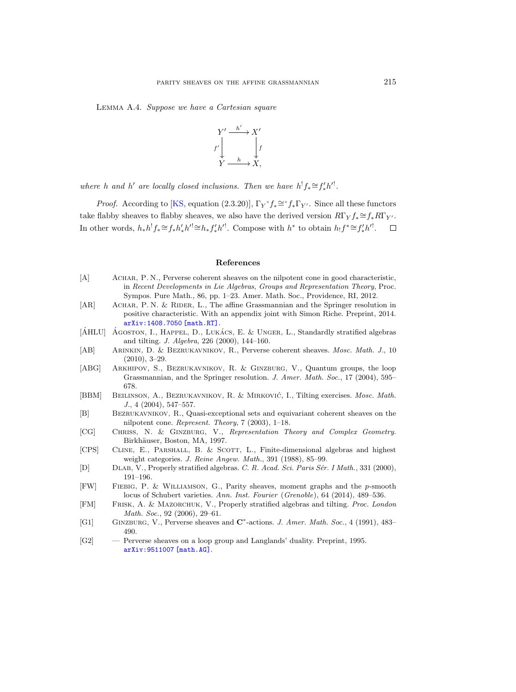<span id="page-32-14"></span>Lemma A.4. Suppose we have a Cartesian square



where h and h' are locally closed inclusions. Then we have  $h^! f_* \cong f'_* h'^!$ .

*Proof.* According to [\[KS,](#page-33-13) equation (2.3.20)],  $\Gamma_Y f_* \cong f_* \Gamma_{Y'}$ . Since all these functors take flabby sheaves to flabby sheaves, we also have the derived version  $R\Gamma_Y f_* \cong f_* R\Gamma_{Y'}$ . In other words,  $h_* h^! f_* \cong f_* h'_* h'^! \cong h_* f'_* h'^!$ . Compose with  $h^*$  to obtain  $h_! f^* \cong f'_* h'^!$ .  $\Box$ 

#### References

- <span id="page-32-10"></span>[A] Achar, P. N., Perverse coherent sheaves on the nilpotent cone in good characteristic, in Recent Developments in Lie Algebras, Groups and Representation Theory, Proc. Sympos. Pure Math., 86, pp. 1–23. Amer. Math. Soc., Providence, RI, 2012.
- <span id="page-32-1"></span>[AR] ACHAR, P. N. & RIDER, L., The affine Grassmannian and the Springer resolution in positive characteristic. With an appendix joint with Simon Riche. Preprint, 2014. [arXiv:1408.7050 \[math.RT\]](http://arxiv.org/abs/1408.7050).
- <span id="page-32-7"></span> $[\hat{A}HLU]$   $\hat{A}$  GOSTON, I., HAPPEL, D., LUKACS, E. & UNGER, L., Standardly stratified algebras and tilting. J. Algebra, 226 (2000), 144–160.
- <span id="page-32-9"></span>[AB] Arinkin, D. & Bezrukavnikov, R., Perverse coherent sheaves. Mosc. Math. J., 10 (2010), 3–29.
- <span id="page-32-2"></span>[ABG] Arkhipov, S., Bezrukavnikov, R. & Ginzburg, V., Quantum groups, the loop Grassmannian, and the Springer resolution. J. Amer. Math. Soc., 17 (2004), 595– 678.
- <span id="page-32-8"></span>[BBM] BEILINSON, A., BEZRUKAVNIKOV, R. & MIRKOVIĆ, I., Tilting exercises. Mosc. Math. J., 4 (2004), 547–557.
- <span id="page-32-3"></span>[B] Bezrukavnikov, R., Quasi-exceptional sets and equivariant coherent sheaves on the nilpotent cone. Represent. Theory, 7 (2003), 1–18.
- <span id="page-32-11"></span>[CG] Chriss, N. & Ginzburg, V., Representation Theory and Complex Geometry. Birkhäuser, Boston, MA, 1997.
- <span id="page-32-6"></span>[CPS] CLINE, E., PARSHALL, B. & SCOTT, L., Finite-dimensional algebras and highest weight categories. J. Reine Angew. Math., 391 (1988), 85–99.
- <span id="page-32-4"></span>[D] DLAB, V., Properly stratified algebras. C. R. Acad. Sci. Paris Sér. I Math., 331 (2000), 191–196.
- <span id="page-32-13"></span>[FW] Fiebig, P. & Williamson, G., Parity sheaves, moment graphs and the p-smooth locus of Schubert varieties. Ann. Inst. Fourier (Grenoble), 64 (2014), 489–536.
- <span id="page-32-5"></span>[FM] Frisk, A. & Mazorchuk, V., Properly stratified algebras and tilting. Proc. London Math. Soc., 92 (2006), 29–61.
- <span id="page-32-12"></span>[G1] GINZBURG, V., Perverse sheaves and C<sup>\*</sup>-actions. J. Amer. Math. Soc., 4 (1991), 483– 490.
- <span id="page-32-0"></span>[G2] — Perverse sheaves on a loop group and Langlands' duality. Preprint, 1995. [arXiv:9511007 \[math.AG\]](http://arxiv.org/abs/9511007).